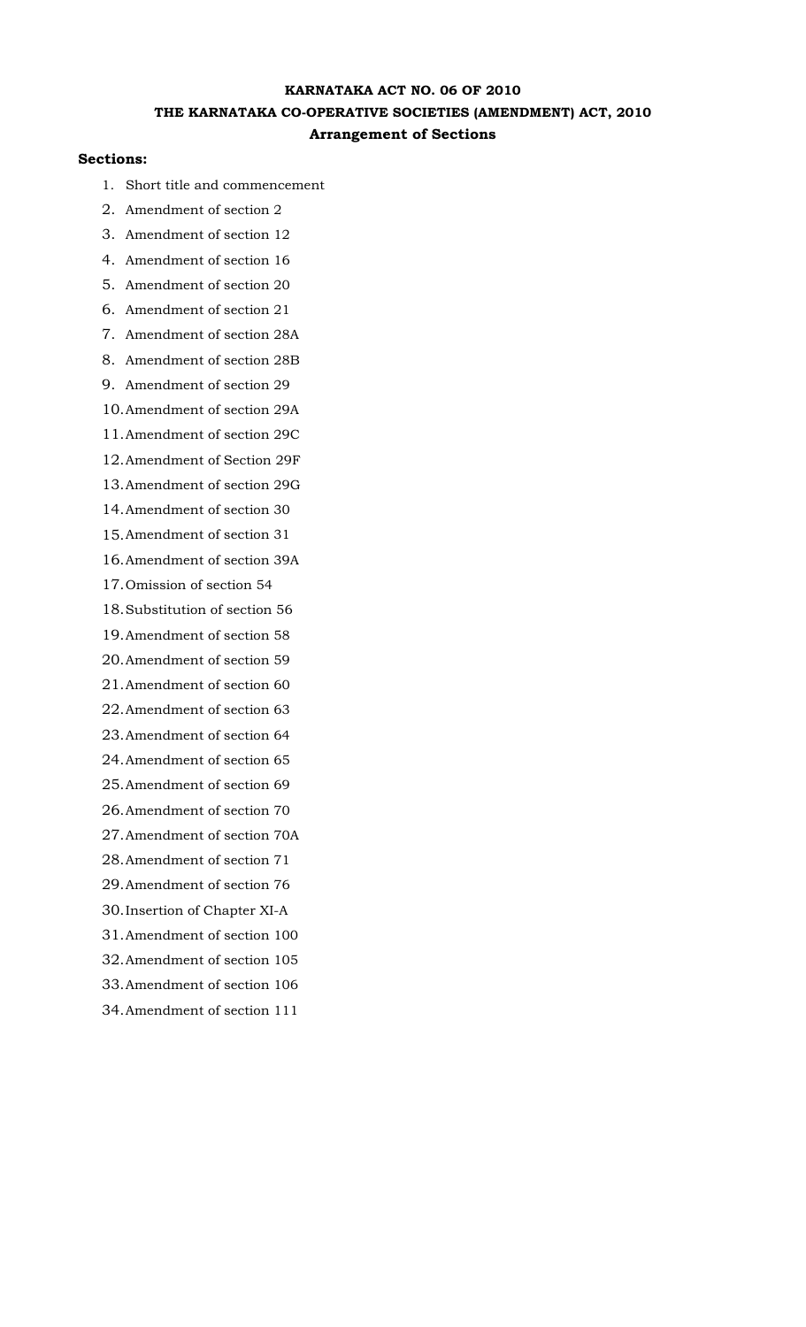# **KARNATAKA ACT NO. 06 OF 2010 THE KARNATAKA CO-OPERATIVE SOCIETIES (AMENDMENT) ACT, 2010 Arrangement of Sections**

## **Sections:**

- 1. Short title and commencement
- 2. Amendment of section 2
- 3. Amendment of section 12
- 4. Amendment of section 16
- 5. Amendment of section 20
- 6. Amendment of section 21
- 7. Amendment of section 28A
- 8. Amendment of section 28B
- 9. Amendment of section 29
- 10. Amendment of section 29A
- 11. Amendment of section 29C
- 12. Amendment of Section 29F
- 13. Amendment of section 29G
- 14. Amendment of section 30
- 15. Amendment of section 31
- 16. Amendment of section 39A
- 17. Omission of section 54
- 18. Substitution of section 56
- 19. Amendment of section 58
- 20. Amendment of section 59
- 21. Amendment of section 60
- 22. Amendment of section 63
- 23. Amendment of section 64
- 24. Amendment of section 65
- 25. Amendment of section 69
- 26. Amendment of section 70
- 27. Amendment of section 70A
- 28. Amendment of section 71
- 29. Amendment of section 76
- 30. Insertion of Chapter XI-A
- 31. Amendment of section 100
- 32. Amendment of section 105
- 33. Amendment of section 106
- 34. Amendment of section 111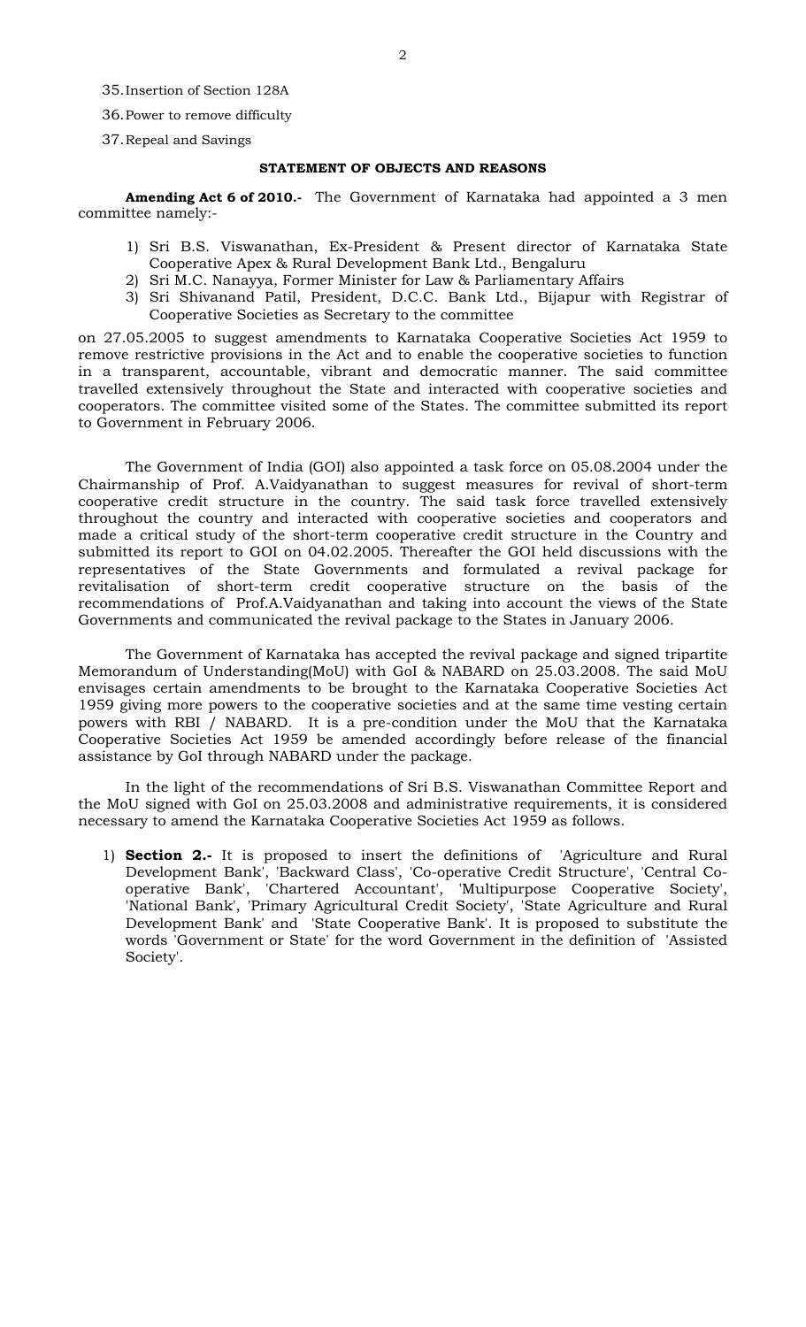- 36. Power to remove difficulty
- 37. Repeal and Savings

## **STATEMENT OF OBJECTS AND REASONS**

**Amending Act 6 of 2010.-** The Government of Karnataka had appointed a 3 men committee namely:-

- 1) Sri B.S. Viswanathan, Ex-President & Present director of Karnataka State Cooperative Apex & Rural Development Bank Ltd., Bengaluru
- 2) Sri M.C. Nanayya, Former Minister for Law & Parliamentary Affairs
- 3) Sri Shivanand Patil, President, D.C.C. Bank Ltd., Bijapur with Registrar of Cooperative Societies as Secretary to the committee

on 27.05.2005 to suggest amendments to Karnataka Cooperative Societies Act 1959 to remove restrictive provisions in the Act and to enable the cooperative societies to function in a transparent, accountable, vibrant and democratic manner. The said committee travelled extensively throughout the State and interacted with cooperative societies and cooperators. The committee visited some of the States. The committee submitted its report to Government in February 2006.

The Government of India (GOI) also appointed a task force on 05.08.2004 under the Chairmanship of Prof. A.Vaidyanathan to suggest measures for revival of short-term cooperative credit structure in the country. The said task force travelled extensively throughout the country and interacted with cooperative societies and cooperators and made a critical study of the short-term cooperative credit structure in the Country and submitted its report to GOI on 04.02.2005. Thereafter the GOI held discussions with the representatives of the State Governments and formulated a revival package for revitalisation of short-term credit cooperative structure on the basis of the recommendations of Prof.A.Vaidyanathan and taking into account the views of the State Governments and communicated the revival package to the States in January 2006.

The Government of Karnataka has accepted the revival package and signed tripartite Memorandum of Understanding(MoU) with GoI & NABARD on 25.03.2008. The said MoU envisages certain amendments to be brought to the Karnataka Cooperative Societies Act 1959 giving more powers to the cooperative societies and at the same time vesting certain powers with RBI / NABARD. It is a pre-condition under the MoU that the Karnataka Cooperative Societies Act 1959 be amended accordingly before release of the financial assistance by GoI through NABARD under the package.

In the light of the recommendations of Sri B.S. Viswanathan Committee Report and the MoU signed with GoI on 25.03.2008 and administrative requirements, it is considered necessary to amend the Karnataka Cooperative Societies Act 1959 as follows.

1) **Section 2.-** It is proposed to insert the definitions of 'Agriculture and Rural Development Bank', 'Backward Class', 'Co-operative Credit Structure', 'Central Cooperative Bank', 'Chartered Accountant', 'Multipurpose Cooperative Society', 'National Bank', 'Primary Agricultural Credit Society', 'State Agriculture and Rural Development Bank' and 'State Cooperative Bank'. It is proposed to substitute the words 'Government or State' for the word Government in the definition of 'Assisted Society'.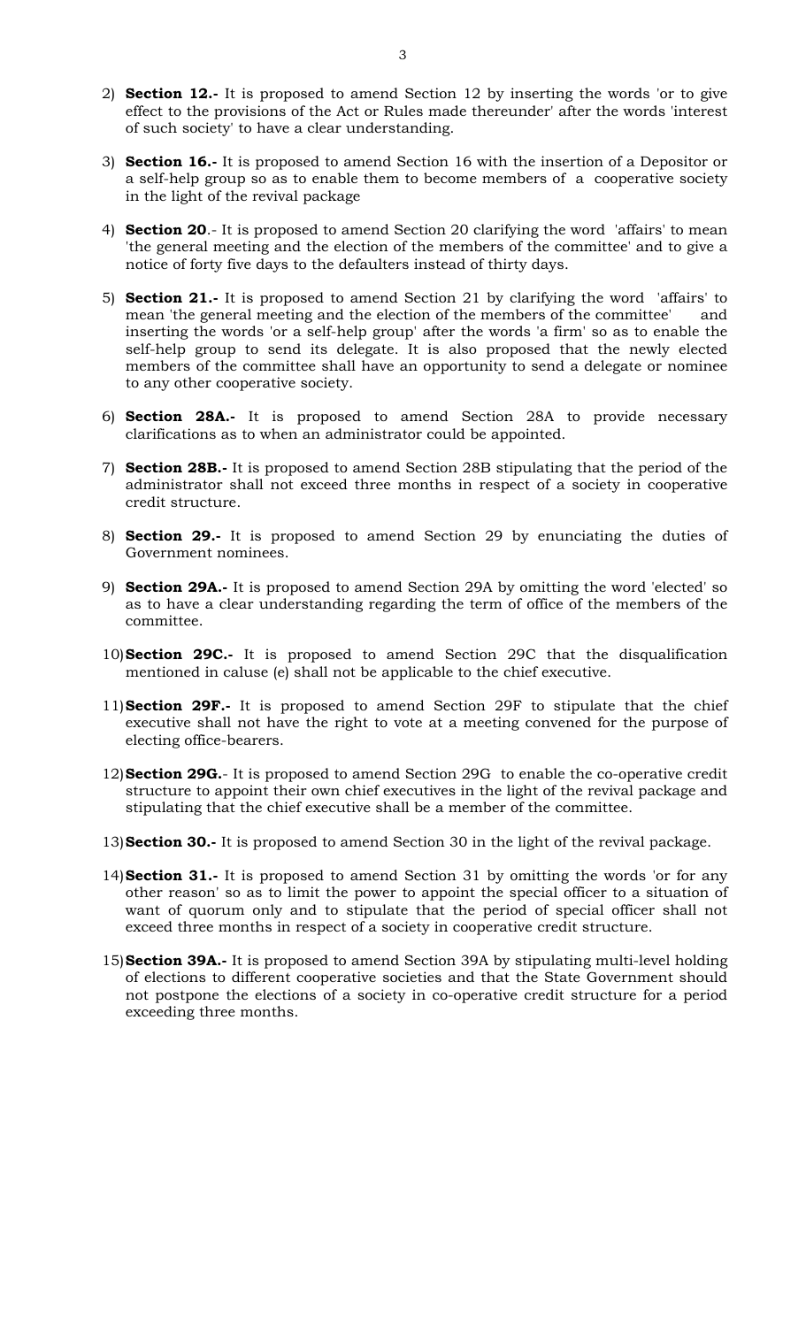- 2) **Section 12.-** It is proposed to amend Section 12 by inserting the words 'or to give effect to the provisions of the Act or Rules made thereunder' after the words 'interest of such society' to have a clear understanding.
- 3) **Section 16.-** It is proposed to amend Section 16 with the insertion of a Depositor or a self-help group so as to enable them to become members of a cooperative society in the light of the revival package
- 4) **Section 20**.- It is proposed to amend Section 20 clarifying the word 'affairs' to mean 'the general meeting and the election of the members of the committee' and to give a notice of forty five days to the defaulters instead of thirty days.
- 5) **Section 21.-** It is proposed to amend Section 21 by clarifying the word 'affairs' to mean 'the general meeting and the election of the members of the committee' and inserting the words 'or a self-help group' after the words 'a firm' so as to enable the self-help group to send its delegate. It is also proposed that the newly elected members of the committee shall have an opportunity to send a delegate or nominee to any other cooperative society.
- 6) **Section 28A.-** It is proposed to amend Section 28A to provide necessary clarifications as to when an administrator could be appointed.
- 7) **Section 28B.-** It is proposed to amend Section 28B stipulating that the period of the administrator shall not exceed three months in respect of a society in cooperative credit structure.
- 8) **Section 29.-** It is proposed to amend Section 29 by enunciating the duties of Government nominees.
- 9) **Section 29A.-** It is proposed to amend Section 29A by omitting the word 'elected' so as to have a clear understanding regarding the term of office of the members of the committee.
- 10) **Section 29C.-** It is proposed to amend Section 29C that the disqualification mentioned in caluse (e) shall not be applicable to the chief executive.
- 11) **Section 29F.-** It is proposed to amend Section 29F to stipulate that the chief executive shall not have the right to vote at a meeting convened for the purpose of electing office-bearers.
- 12) **Section 29G.** It is proposed to amend Section 29G to enable the co-operative credit structure to appoint their own chief executives in the light of the revival package and stipulating that the chief executive shall be a member of the committee.
- 13) **Section 30.-** It is proposed to amend Section 30 in the light of the revival package.
- 14) **Section 31.-** It is proposed to amend Section 31 by omitting the words 'or for any other reason' so as to limit the power to appoint the special officer to a situation of want of quorum only and to stipulate that the period of special officer shall not exceed three months in respect of a society in cooperative credit structure.
- 15) **Section 39A.-** It is proposed to amend Section 39A by stipulating multi-level holding of elections to different cooperative societies and that the State Government should not postpone the elections of a society in co-operative credit structure for a period exceeding three months.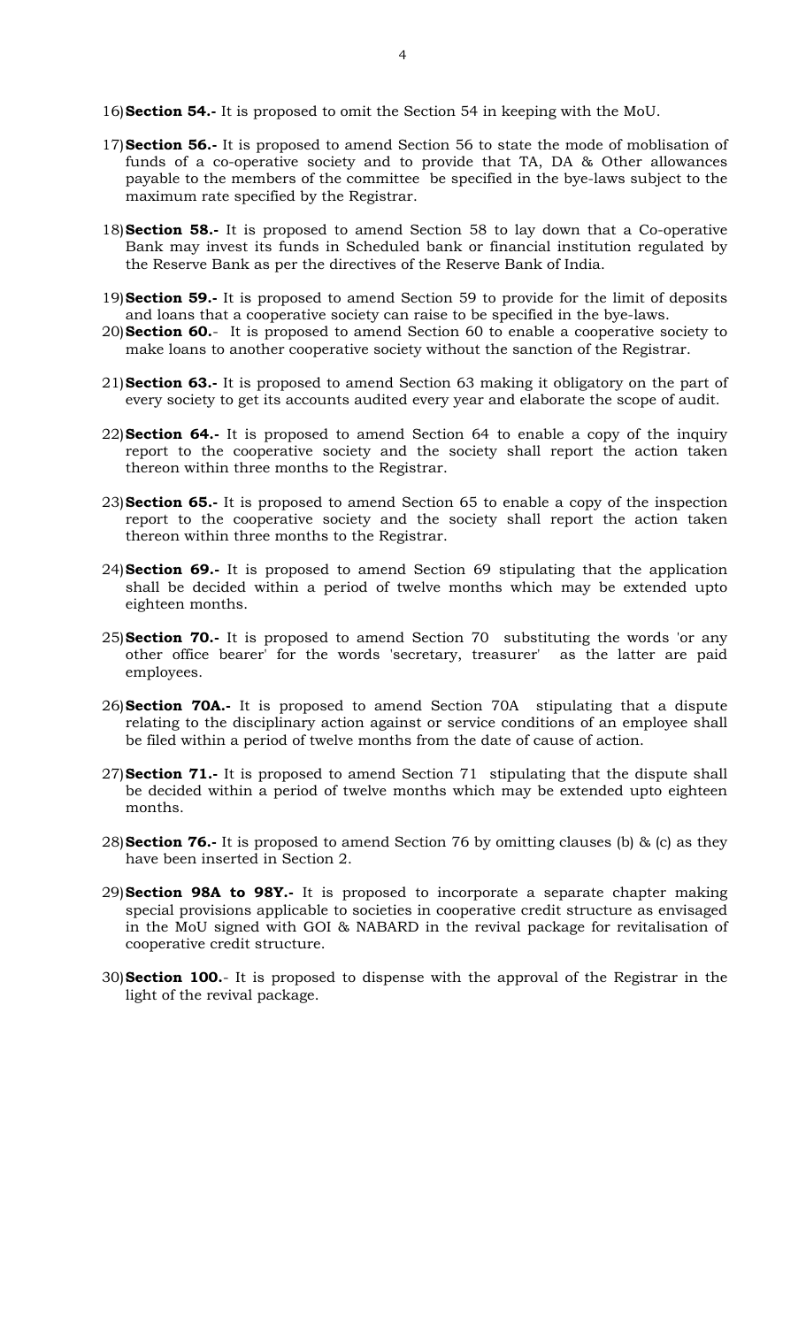16) **Section 54.-** It is proposed to omit the Section 54 in keeping with the MoU.

- 17) **Section 56.-** It is proposed to amend Section 56 to state the mode of moblisation of funds of a co-operative society and to provide that TA, DA & Other allowances payable to the members of the committee be specified in the bye-laws subject to the maximum rate specified by the Registrar.
- 18) **Section 58.-** It is proposed to amend Section 58 to lay down that a Co-operative Bank may invest its funds in Scheduled bank or financial institution regulated by the Reserve Bank as per the directives of the Reserve Bank of India.
- 19) **Section 59.-** It is proposed to amend Section 59 to provide for the limit of deposits and loans that a cooperative society can raise to be specified in the bye-laws.
- 20) **Section 60.** It is proposed to amend Section 60 to enable a cooperative society to make loans to another cooperative society without the sanction of the Registrar.
- 21) **Section 63.-** It is proposed to amend Section 63 making it obligatory on the part of every society to get its accounts audited every year and elaborate the scope of audit.
- 22) **Section 64.-** It is proposed to amend Section 64 to enable a copy of the inquiry report to the cooperative society and the society shall report the action taken thereon within three months to the Registrar.
- 23) **Section 65.-** It is proposed to amend Section 65 to enable a copy of the inspection report to the cooperative society and the society shall report the action taken thereon within three months to the Registrar.
- 24) **Section 69.-** It is proposed to amend Section 69 stipulating that the application shall be decided within a period of twelve months which may be extended upto eighteen months.
- 25) **Section 70.-** It is proposed to amend Section 70 substituting the words 'or any other office bearer' for the words 'secretary, treasurer' as the latter are paid employees.
- 26) **Section 70A.-** It is proposed to amend Section 70A stipulating that a dispute relating to the disciplinary action against or service conditions of an employee shall be filed within a period of twelve months from the date of cause of action.
- 27) **Section 71.-** It is proposed to amend Section 71 stipulating that the dispute shall be decided within a period of twelve months which may be extended upto eighteen months.
- 28) **Section 76.-** It is proposed to amend Section 76 by omitting clauses (b) & (c) as they have been inserted in Section 2.
- 29) **Section 98A to 98Y.-** It is proposed to incorporate a separate chapter making special provisions applicable to societies in cooperative credit structure as envisaged in the MoU signed with GOI & NABARD in the revival package for revitalisation of cooperative credit structure.
- 30) **Section 100.** It is proposed to dispense with the approval of the Registrar in the light of the revival package.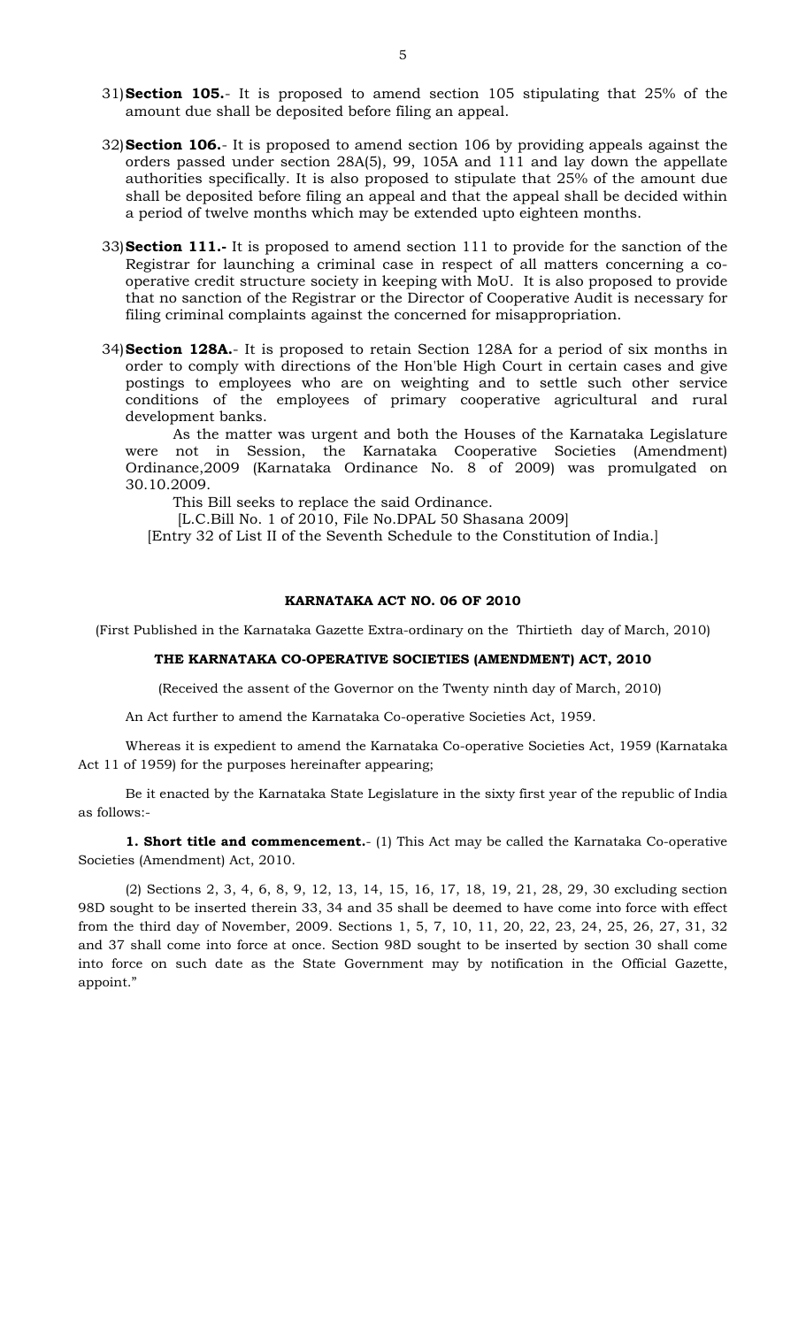- 31) **Section 105.** It is proposed to amend section 105 stipulating that 25% of the amount due shall be deposited before filing an appeal.
- 32) **Section 106.** It is proposed to amend section 106 by providing appeals against the orders passed under section 28A(5), 99, 105A and 111 and lay down the appellate authorities specifically. It is also proposed to stipulate that 25% of the amount due shall be deposited before filing an appeal and that the appeal shall be decided within a period of twelve months which may be extended upto eighteen months.
- 33) **Section 111.-** It is proposed to amend section 111 to provide for the sanction of the Registrar for launching a criminal case in respect of all matters concerning a cooperative credit structure society in keeping with MoU. It is also proposed to provide that no sanction of the Registrar or the Director of Cooperative Audit is necessary for filing criminal complaints against the concerned for misappropriation.
- 34) **Section 128A.** It is proposed to retain Section 128A for a period of six months in order to comply with directions of the Hon'ble High Court in certain cases and give postings to employees who are on weighting and to settle such other service conditions of the employees of primary cooperative agricultural and rural development banks.

As the matter was urgent and both the Houses of the Karnataka Legislature were not in Session, the Karnataka Cooperative Societies (Amendment) Ordinance,2009 (Karnataka Ordinance No. 8 of 2009) was promulgated on 30.10.2009.

This Bill seeks to replace the said Ordinance.

[L.C.Bill No. 1 of 2010, File No.DPAL 50 Shasana 2009]

[Entry 32 of List II of the Seventh Schedule to the Constitution of India.]

### **KARNATAKA ACT NO. 06 OF 2010**

(First Published in the Karnataka Gazette Extra-ordinary on the Thirtieth day of March, 2010)

## **THE KARNATAKA CO-OPERATIVE SOCIETIES (AMENDMENT) ACT, 2010**

(Received the assent of the Governor on the Twenty ninth day of March, 2010)

An Act further to amend the Karnataka Co-operative Societies Act, 1959.

Whereas it is expedient to amend the Karnataka Co-operative Societies Act, 1959 (Karnataka Act 11 of 1959) for the purposes hereinafter appearing;

Be it enacted by the Karnataka State Legislature in the sixty first year of the republic of India as follows:-

**1. Short title and commencement.**- (1) This Act may be called the Karnataka Co-operative Societies (Amendment) Act, 2010.

(2) Sections 2, 3, 4, 6, 8, 9, 12, 13, 14, 15, 16, 17, 18, 19, 21, 28, 29, 30 excluding section 98D sought to be inserted therein 33, 34 and 35 shall be deemed to have come into force with effect from the third day of November, 2009. Sections 1, 5, 7, 10, 11, 20, 22, 23, 24, 25, 26, 27, 31, 32 and 37 shall come into force at once. Section 98D sought to be inserted by section 30 shall come into force on such date as the State Government may by notification in the Official Gazette, appoint."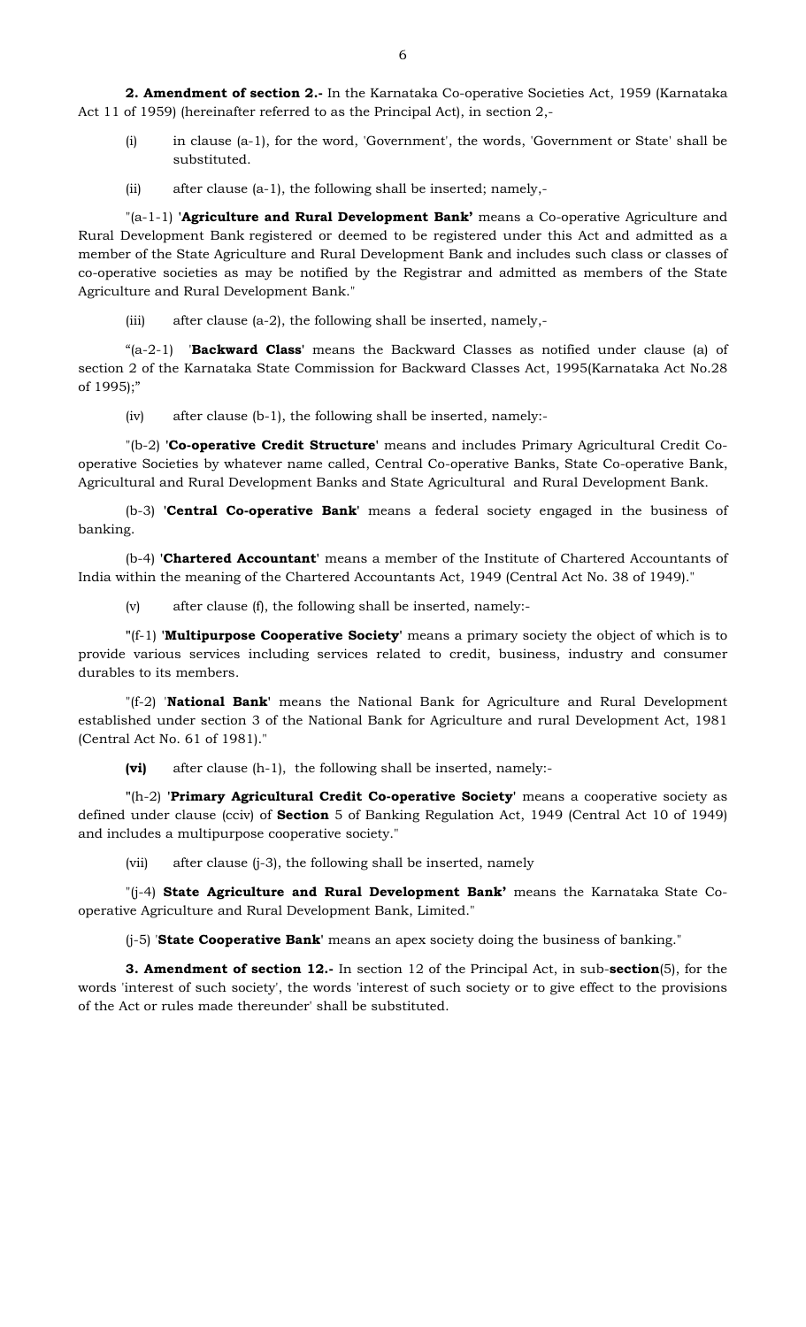- (i) in clause (a-1), for the word, 'Government', the words, 'Government or State' shall be substituted.
- (ii) after clause (a-1), the following shall be inserted; namely,-

"(a-1-1) **'Agriculture and Rural Development Bank'** means a Co-operative Agriculture and Rural Development Bank registered or deemed to be registered under this Act and admitted as a member of the State Agriculture and Rural Development Bank and includes such class or classes of co-operative societies as may be notified by the Registrar and admitted as members of the State Agriculture and Rural Development Bank."

(iii) after clause (a-2), the following shall be inserted, namely,-

 "(a-2-1) '**Backward Class'** means the Backward Classes as notified under clause (a) of section 2 of the Karnataka State Commission for Backward Classes Act, 1995(Karnataka Act No.28 of 1995);"

(iv) after clause (b-1), the following shall be inserted, namely:-

"(b-2) **'Co-operative Credit Structure'** means and includes Primary Agricultural Credit Cooperative Societies by whatever name called, Central Co-operative Banks, State Co-operative Bank, Agricultural and Rural Development Banks and State Agricultural and Rural Development Bank.

(b-3) **'Central Co-operative Bank'** means a federal society engaged in the business of banking.

(b-4) **'Chartered Accountant'** means a member of the Institute of Chartered Accountants of India within the meaning of the Chartered Accountants Act, 1949 (Central Act No. 38 of 1949)."

(v) after clause (f), the following shall be inserted, namely:-

**"**(f-1) **'Multipurpose Cooperative Society'** means a primary society the object of which is to provide various services including services related to credit, business, industry and consumer durables to its members.

"(f-2) '**National Bank'** means the National Bank for Agriculture and Rural Development established under section 3 of the National Bank for Agriculture and rural Development Act, 1981 (Central Act No. 61 of 1981)."

**(vi)** after clause (h-1), the following shall be inserted, namely:-

**"**(h-2) **'Primary Agricultural Credit Co-operative Society'** means a cooperative society as defined under clause (cciv) of **Section** 5 of Banking Regulation Act, 1949 (Central Act 10 of 1949) and includes a multipurpose cooperative society."

(vii) after clause (j-3), the following shall be inserted, namely

"(j-4) **State Agriculture and Rural Development Bank'** means the Karnataka State Cooperative Agriculture and Rural Development Bank, Limited."

(j-5) '**State Cooperative Bank'** means an apex society doing the business of banking."

**3. Amendment of section 12.-** In section 12 of the Principal Act, in sub-**section**(5), for the words 'interest of such society', the words 'interest of such society or to give effect to the provisions of the Act or rules made thereunder' shall be substituted.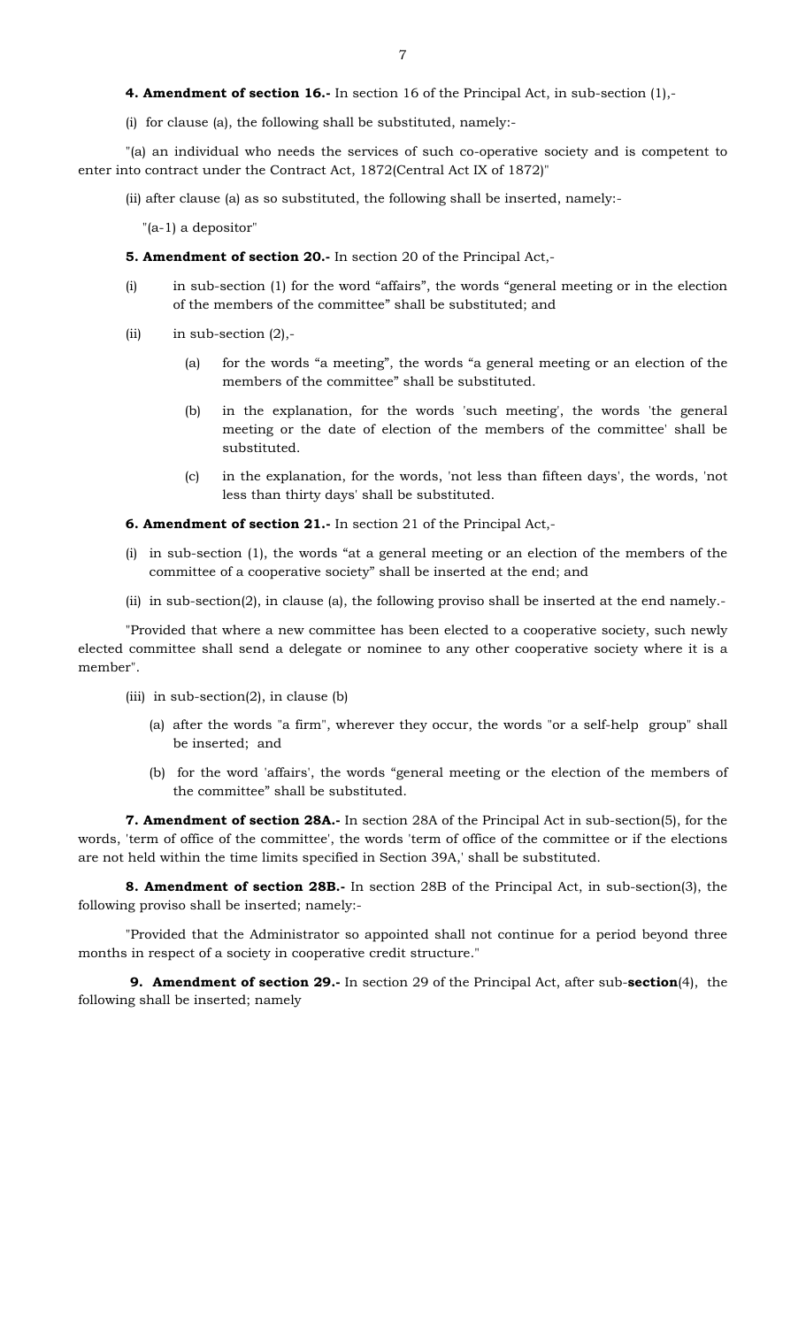(i) for clause (a), the following shall be substituted, namely:-

 "(a) an individual who needs the services of such co-operative society and is competent to enter into contract under the Contract Act, 1872(Central Act IX of 1872)"

(ii) after clause (a) as so substituted, the following shall be inserted, namely:-

"(a-1) a depositor"

- **5. Amendment of section 20.-** In section 20 of the Principal Act,-
- (i) in sub-section (1) for the word "affairs", the words "general meeting or in the election of the members of the committee" shall be substituted; and
- (ii) in sub-section  $(2)$ ,-
	- (a) for the words "a meeting", the words "a general meeting or an election of the members of the committee" shall be substituted.
	- (b) in the explanation, for the words 'such meeting', the words 'the general meeting or the date of election of the members of the committee' shall be substituted.
	- (c) in the explanation, for the words, 'not less than fifteen days', the words, 'not less than thirty days' shall be substituted.

**6. Amendment of section 21.-** In section 21 of the Principal Act,-

- (i) in sub-section (1), the words "at a general meeting or an election of the members of the committee of a cooperative society" shall be inserted at the end; and
- (ii) in sub-section(2), in clause (a), the following proviso shall be inserted at the end namely.-

"Provided that where a new committee has been elected to a cooperative society, such newly elected committee shall send a delegate or nominee to any other cooperative society where it is a member".

- (iii) in sub-section(2), in clause (b)
	- (a) after the words "a firm", wherever they occur, the words "or a self-help group" shall be inserted; and
	- (b) for the word 'affairs', the words "general meeting or the election of the members of the committee" shall be substituted.

**7. Amendment of section 28A.-** In section 28A of the Principal Act in sub-section(5), for the words, 'term of office of the committee', the words 'term of office of the committee or if the elections are not held within the time limits specified in Section 39A,' shall be substituted.

**8. Amendment of section 28B.-** In section 28B of the Principal Act, in sub-section(3), the following proviso shall be inserted; namely:-

"Provided that the Administrator so appointed shall not continue for a period beyond three months in respect of a society in cooperative credit structure."

 **9. Amendment of section 29.-** In section 29 of the Principal Act, after sub-**section**(4), the following shall be inserted; namely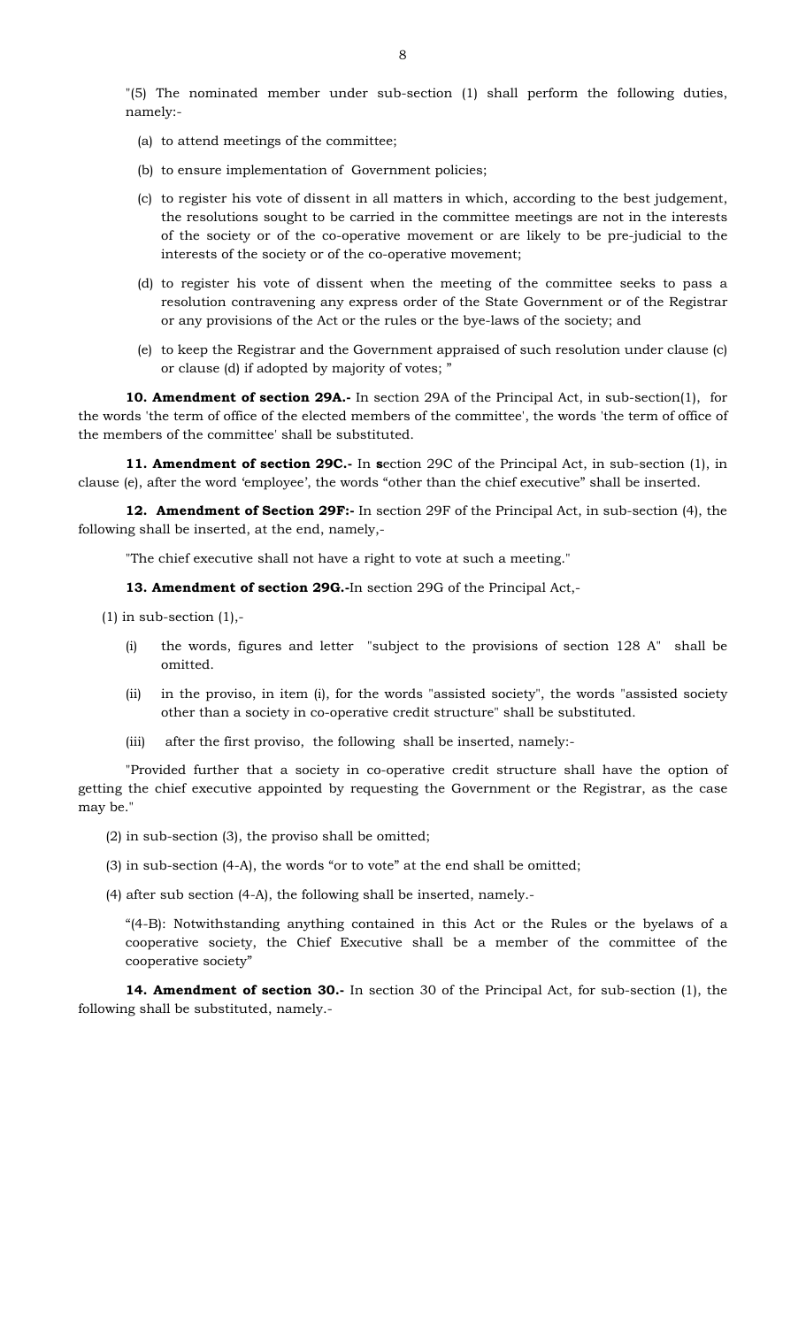"(5) The nominated member under sub-section (1) shall perform the following duties, namely:-

- (a) to attend meetings of the committee;
- (b) to ensure implementation of Government policies;
- (c) to register his vote of dissent in all matters in which, according to the best judgement, the resolutions sought to be carried in the committee meetings are not in the interests of the society or of the co-operative movement or are likely to be pre-judicial to the interests of the society or of the co-operative movement;
- (d) to register his vote of dissent when the meeting of the committee seeks to pass a resolution contravening any express order of the State Government or of the Registrar or any provisions of the Act or the rules or the bye-laws of the society; and
- (e) to keep the Registrar and the Government appraised of such resolution under clause (c) or clause (d) if adopted by majority of votes; "

**10. Amendment of section 29A.-** In section 29A of the Principal Act, in sub-section(1), for the words 'the term of office of the elected members of the committee', the words 'the term of office of the members of the committee' shall be substituted.

**11. Amendment of section 29C.-** In **s**ection 29C of the Principal Act, in sub-section (1), in clause (e), after the word 'employee', the words "other than the chief executive" shall be inserted.

**12. Amendment of Section 29F:-** In section 29F of the Principal Act, in sub-section (4), the following shall be inserted, at the end, namely,-

"The chief executive shall not have a right to vote at such a meeting."

**13. Amendment of section 29G.-**In section 29G of the Principal Act,-

 $(1)$  in sub-section  $(1)$ ,-

- (i) the words, figures and letter "subject to the provisions of section 128 A" shall be omitted.
- (ii) in the proviso, in item (i), for the words "assisted society", the words "assisted society other than a society in co-operative credit structure" shall be substituted.
- (iii) after the first proviso, the following shall be inserted, namely:-

 "Provided further that a society in co-operative credit structure shall have the option of getting the chief executive appointed by requesting the Government or the Registrar, as the case may be."

- (2) in sub-section (3), the proviso shall be omitted;
- (3) in sub-section (4-A), the words "or to vote" at the end shall be omitted;
- (4) after sub section (4-A), the following shall be inserted, namely.-

"(4-B): Notwithstanding anything contained in this Act or the Rules or the byelaws of a cooperative society, the Chief Executive shall be a member of the committee of the cooperative society"

**14. Amendment of section 30.-** In section 30 of the Principal Act, for sub-section (1), the following shall be substituted, namely.-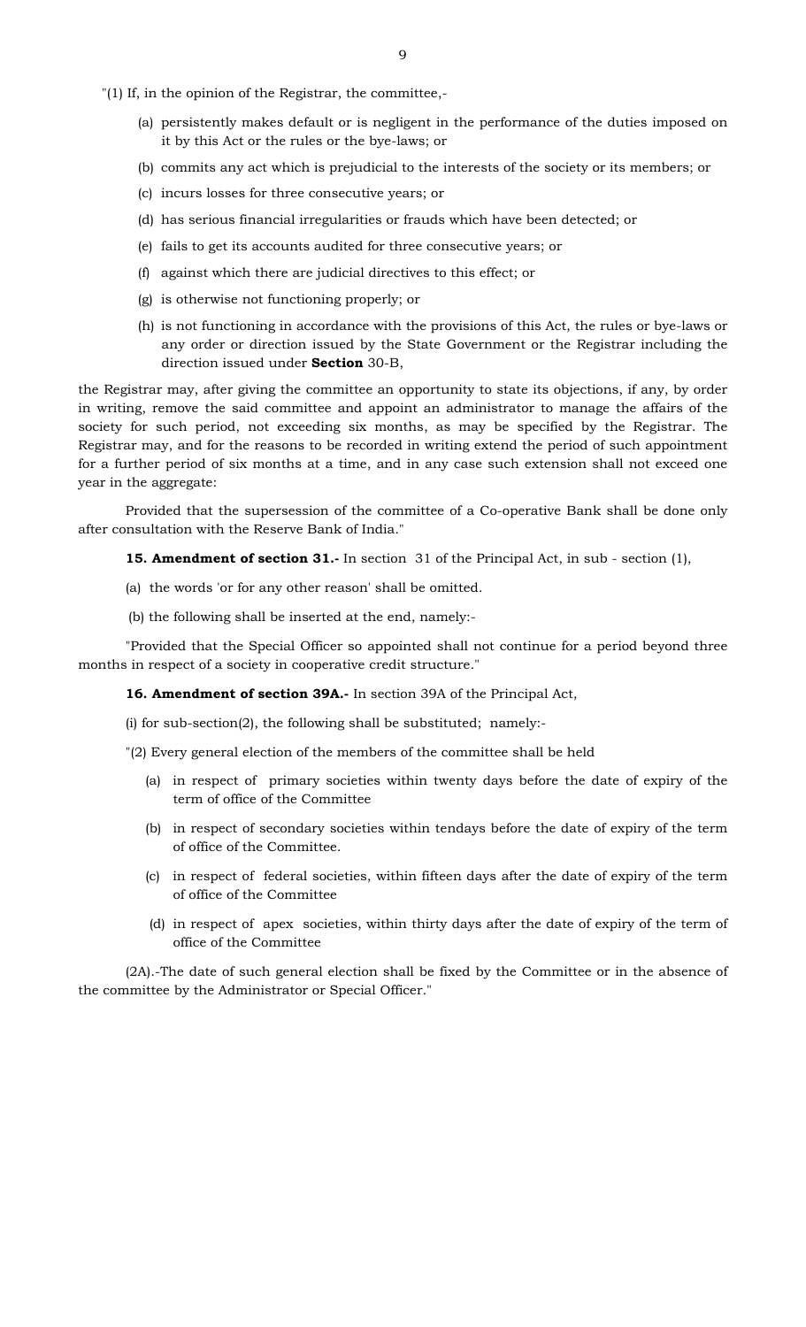"(1) If, in the opinion of the Registrar, the committee,-

- (a) persistently makes default or is negligent in the performance of the duties imposed on it by this Act or the rules or the bye-laws; or
- (b) commits any act which is prejudicial to the interests of the society or its members; or
- (c) incurs losses for three consecutive years; or
- (d) has serious financial irregularities or frauds which have been detected; or
- (e) fails to get its accounts audited for three consecutive years; or
- (f) against which there are judicial directives to this effect; or
- (g) is otherwise not functioning properly; or
- (h) is not functioning in accordance with the provisions of this Act, the rules or bye-laws or any order or direction issued by the State Government or the Registrar including the direction issued under **Section** 30-B,

the Registrar may, after giving the committee an opportunity to state its objections, if any, by order in writing, remove the said committee and appoint an administrator to manage the affairs of the society for such period, not exceeding six months, as may be specified by the Registrar. The Registrar may, and for the reasons to be recorded in writing extend the period of such appointment for a further period of six months at a time, and in any case such extension shall not exceed one year in the aggregate:

Provided that the supersession of the committee of a Co-operative Bank shall be done only after consultation with the Reserve Bank of India."

**15. Amendment of section 31.-** In section 31 of the Principal Act, in sub - section (1),

- (a) the words 'or for any other reason' shall be omitted.
- (b) the following shall be inserted at the end, namely:-

"Provided that the Special Officer so appointed shall not continue for a period beyond three months in respect of a society in cooperative credit structure."

**16. Amendment of section 39A.-** In section 39A of the Principal Act,

(i) for sub-section(2), the following shall be substituted; namely:-

"(2) Every general election of the members of the committee shall be held

- (a) in respect of primary societies within twenty days before the date of expiry of the term of office of the Committee
- (b) in respect of secondary societies within tendays before the date of expiry of the term of office of the Committee.
- (c) in respect of federal societies, within fifteen days after the date of expiry of the term of office of the Committee
- (d) in respect of apex societies, within thirty days after the date of expiry of the term of office of the Committee

(2A).-The date of such general election shall be fixed by the Committee or in the absence of the committee by the Administrator or Special Officer."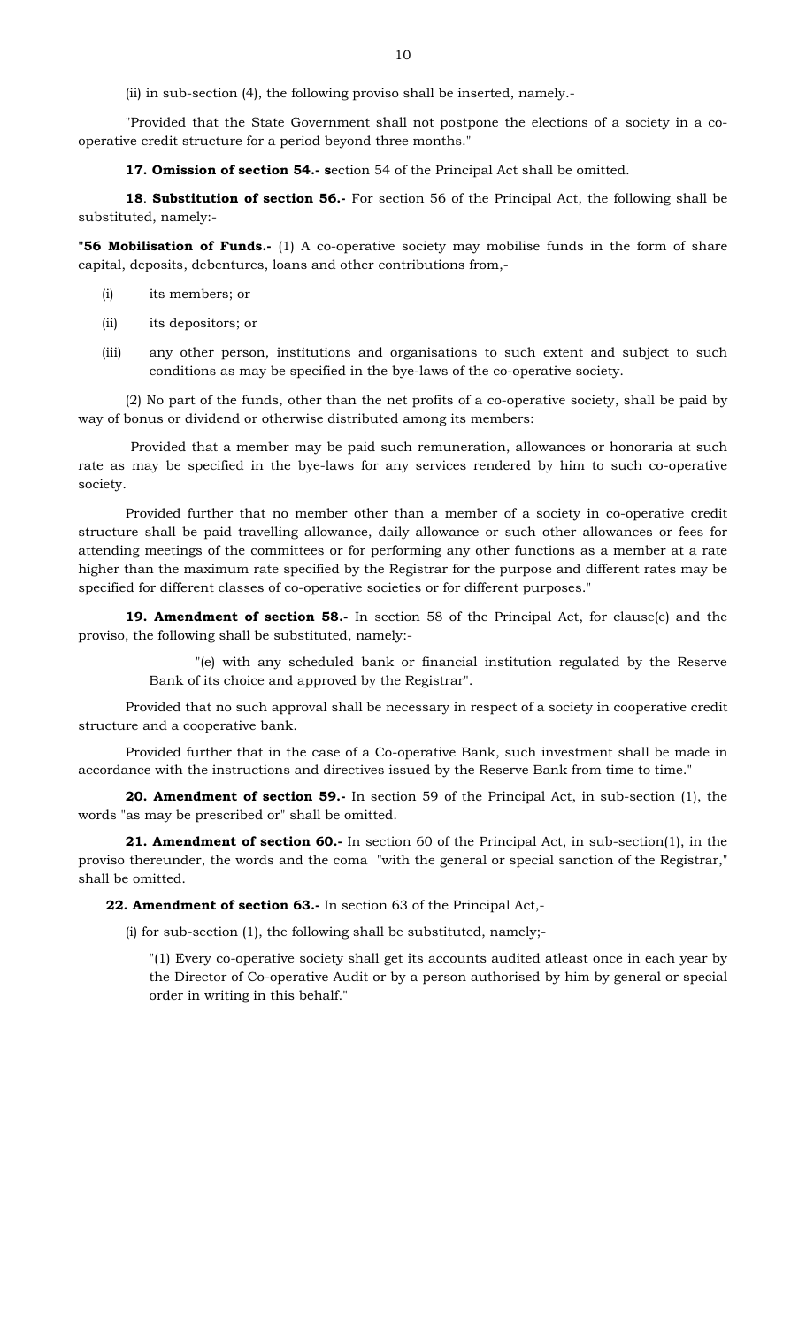(ii) in sub-section (4), the following proviso shall be inserted, namely.-

 "Provided that the State Government shall not postpone the elections of a society in a cooperative credit structure for a period beyond three months."

**17. Omission of section 54.- s**ection 54 of the Principal Act shall be omitted.

 **18**. **Substitution of section 56.-** For section 56 of the Principal Act, the following shall be substituted, namely:-

**"56 Mobilisation of Funds.-** (1) A co-operative society may mobilise funds in the form of share capital, deposits, debentures, loans and other contributions from,-

- (i) its members; or
- (ii) its depositors; or
- (iii) any other person, institutions and organisations to such extent and subject to such conditions as may be specified in the bye-laws of the co-operative society.

(2) No part of the funds, other than the net profits of a co-operative society, shall be paid by way of bonus or dividend or otherwise distributed among its members:

Provided that a member may be paid such remuneration, allowances or honoraria at such rate as may be specified in the bye-laws for any services rendered by him to such co-operative society.

Provided further that no member other than a member of a society in co-operative credit structure shall be paid travelling allowance, daily allowance or such other allowances or fees for attending meetings of the committees or for performing any other functions as a member at a rate higher than the maximum rate specified by the Registrar for the purpose and different rates may be specified for different classes of co-operative societies or for different purposes."

**19. Amendment of section 58.-** In section 58 of the Principal Act, for clause(e) and the proviso, the following shall be substituted, namely:-

> "(e) with any scheduled bank or financial institution regulated by the Reserve Bank of its choice and approved by the Registrar".

 Provided that no such approval shall be necessary in respect of a society in cooperative credit structure and a cooperative bank.

 Provided further that in the case of a Co-operative Bank, such investment shall be made in accordance with the instructions and directives issued by the Reserve Bank from time to time."

**20. Amendment of section 59.-** In section 59 of the Principal Act, in sub-section (1), the words "as may be prescribed or" shall be omitted.

**21. Amendment of section 60.-** In section 60 of the Principal Act, in sub-section(1), in the proviso thereunder, the words and the coma "with the general or special sanction of the Registrar," shall be omitted.

**22. Amendment of section 63.-** In section 63 of the Principal Act,-

(i) for sub-section (1), the following shall be substituted, namely;-

"(1) Every co-operative society shall get its accounts audited atleast once in each year by the Director of Co-operative Audit or by a person authorised by him by general or special order in writing in this behalf."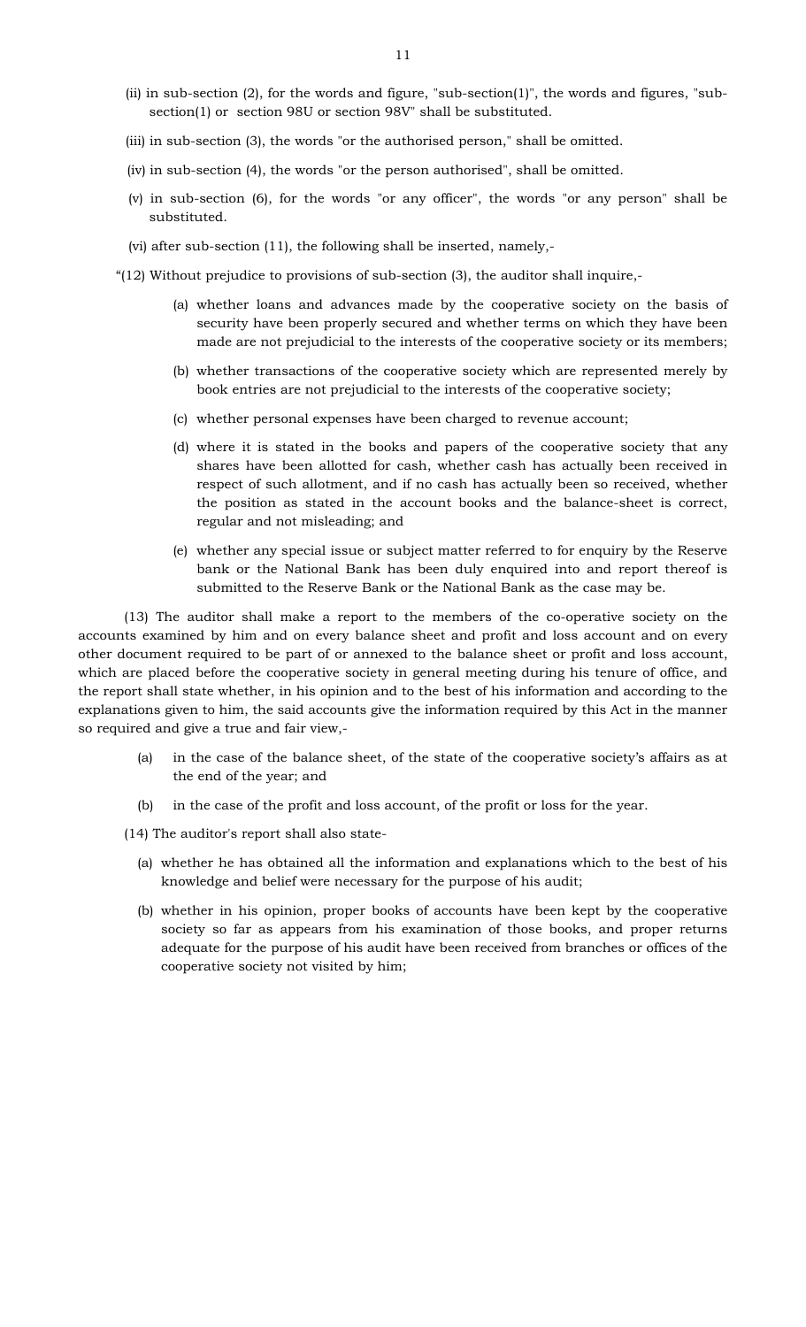- (ii) in sub-section (2), for the words and figure, "sub-section(1)", the words and figures, "subsection(1) or section 98U or section 98V" shall be substituted.
- (iii) in sub-section (3), the words "or the authorised person," shall be omitted.
- (iv) in sub-section (4), the words "or the person authorised", shall be omitted.
- (v) in sub-section (6), for the words "or any officer", the words "or any person" shall be substituted.
- (vi) after sub-section (11), the following shall be inserted, namely,-
- "(12) Without prejudice to provisions of sub-section (3), the auditor shall inquire,-
	- (a) whether loans and advances made by the cooperative society on the basis of security have been properly secured and whether terms on which they have been made are not prejudicial to the interests of the cooperative society or its members;
	- (b) whether transactions of the cooperative society which are represented merely by book entries are not prejudicial to the interests of the cooperative society;
	- (c) whether personal expenses have been charged to revenue account;
	- (d) where it is stated in the books and papers of the cooperative society that any shares have been allotted for cash, whether cash has actually been received in respect of such allotment, and if no cash has actually been so received, whether the position as stated in the account books and the balance-sheet is correct, regular and not misleading; and
	- (e) whether any special issue or subject matter referred to for enquiry by the Reserve bank or the National Bank has been duly enquired into and report thereof is submitted to the Reserve Bank or the National Bank as the case may be.

 (13) The auditor shall make a report to the members of the co-operative society on the accounts examined by him and on every balance sheet and profit and loss account and on every other document required to be part of or annexed to the balance sheet or profit and loss account, which are placed before the cooperative society in general meeting during his tenure of office, and the report shall state whether, in his opinion and to the best of his information and according to the explanations given to him, the said accounts give the information required by this Act in the manner so required and give a true and fair view,-

- (a) in the case of the balance sheet, of the state of the cooperative society's affairs as at the end of the year; and
- (b) in the case of the profit and loss account, of the profit or loss for the year.
- (14) The auditor's report shall also state-
	- (a) whether he has obtained all the information and explanations which to the best of his knowledge and belief were necessary for the purpose of his audit;
	- (b) whether in his opinion, proper books of accounts have been kept by the cooperative society so far as appears from his examination of those books, and proper returns adequate for the purpose of his audit have been received from branches or offices of the cooperative society not visited by him;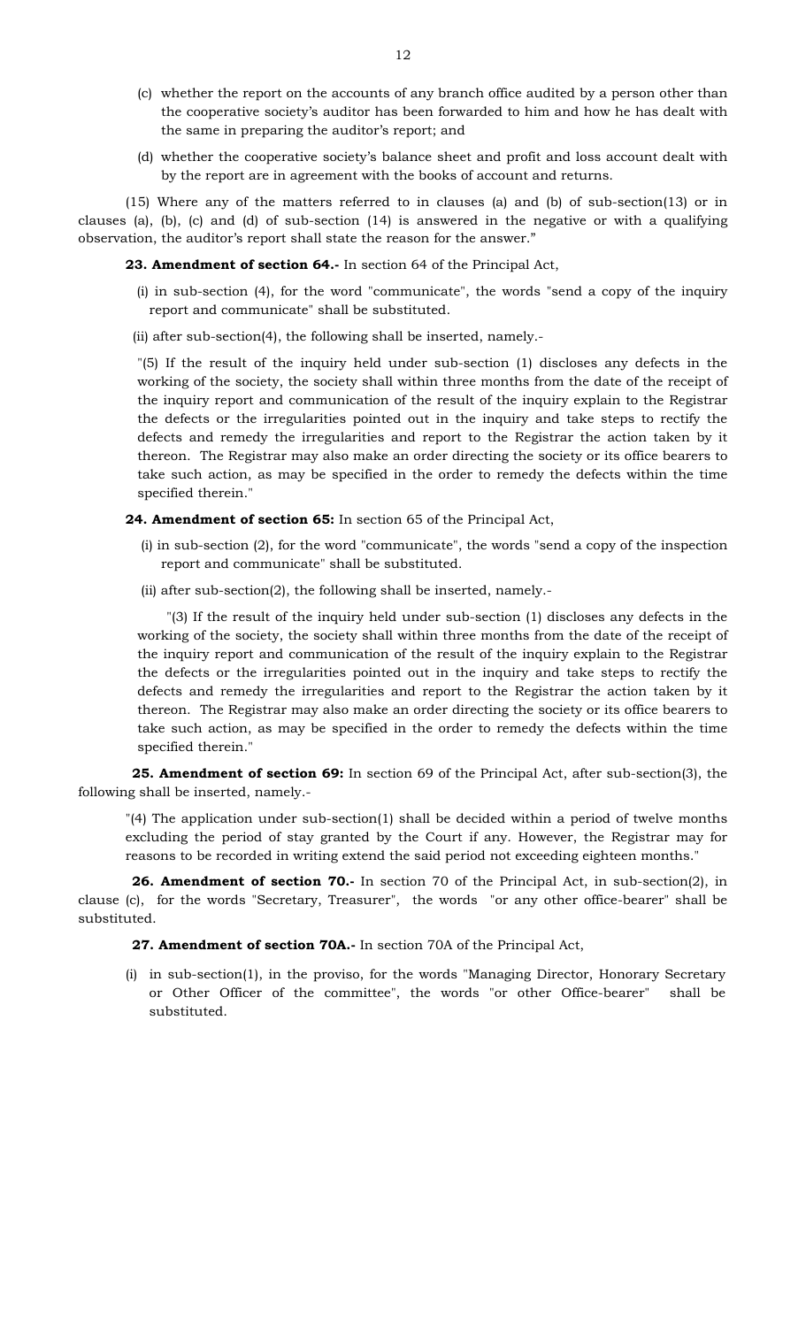- (c) whether the report on the accounts of any branch office audited by a person other than the cooperative society's auditor has been forwarded to him and how he has dealt with the same in preparing the auditor's report; and
- (d) whether the cooperative society's balance sheet and profit and loss account dealt with by the report are in agreement with the books of account and returns.

 $(15)$  Where any of the matters referred to in clauses (a) and (b) of sub-section $(13)$  or in clauses (a), (b), (c) and (d) of sub-section (14) is answered in the negative or with a qualifying observation, the auditor's report shall state the reason for the answer."

**23. Amendment of section 64.-** In section 64 of the Principal Act,

 (i) in sub-section (4), for the word "communicate", the words "send a copy of the inquiry report and communicate" shall be substituted.

(ii) after sub-section(4), the following shall be inserted, namely.-

"(5) If the result of the inquiry held under sub-section (1) discloses any defects in the working of the society, the society shall within three months from the date of the receipt of the inquiry report and communication of the result of the inquiry explain to the Registrar the defects or the irregularities pointed out in the inquiry and take steps to rectify the defects and remedy the irregularities and report to the Registrar the action taken by it thereon. The Registrar may also make an order directing the society or its office bearers to take such action, as may be specified in the order to remedy the defects within the time specified therein."

#### **24. Amendment of section 65:** In section 65 of the Principal Act,

- (i) in sub-section (2), for the word "communicate", the words "send a copy of the inspection report and communicate" shall be substituted.
- (ii) after sub-section(2), the following shall be inserted, namely.-

 "(3) If the result of the inquiry held under sub-section (1) discloses any defects in the working of the society, the society shall within three months from the date of the receipt of the inquiry report and communication of the result of the inquiry explain to the Registrar the defects or the irregularities pointed out in the inquiry and take steps to rectify the defects and remedy the irregularities and report to the Registrar the action taken by it thereon. The Registrar may also make an order directing the society or its office bearers to take such action, as may be specified in the order to remedy the defects within the time specified therein."

 **25. Amendment of section 69:** In section 69 of the Principal Act, after sub-section(3), the following shall be inserted, namely.-

"(4) The application under sub-section(1) shall be decided within a period of twelve months excluding the period of stay granted by the Court if any. However, the Registrar may for reasons to be recorded in writing extend the said period not exceeding eighteen months."

 **26. Amendment of section 70.-** In section 70 of the Principal Act, in sub-section(2), in clause (c), for the words "Secretary, Treasurer", the words "or any other office-bearer" shall be substituted.

#### **27. Amendment of section 70A.-** In section 70A of the Principal Act,

(i) in sub-section(1), in the proviso, for the words "Managing Director, Honorary Secretary or Other Officer of the committee", the words "or other Office-bearer" shall be substituted.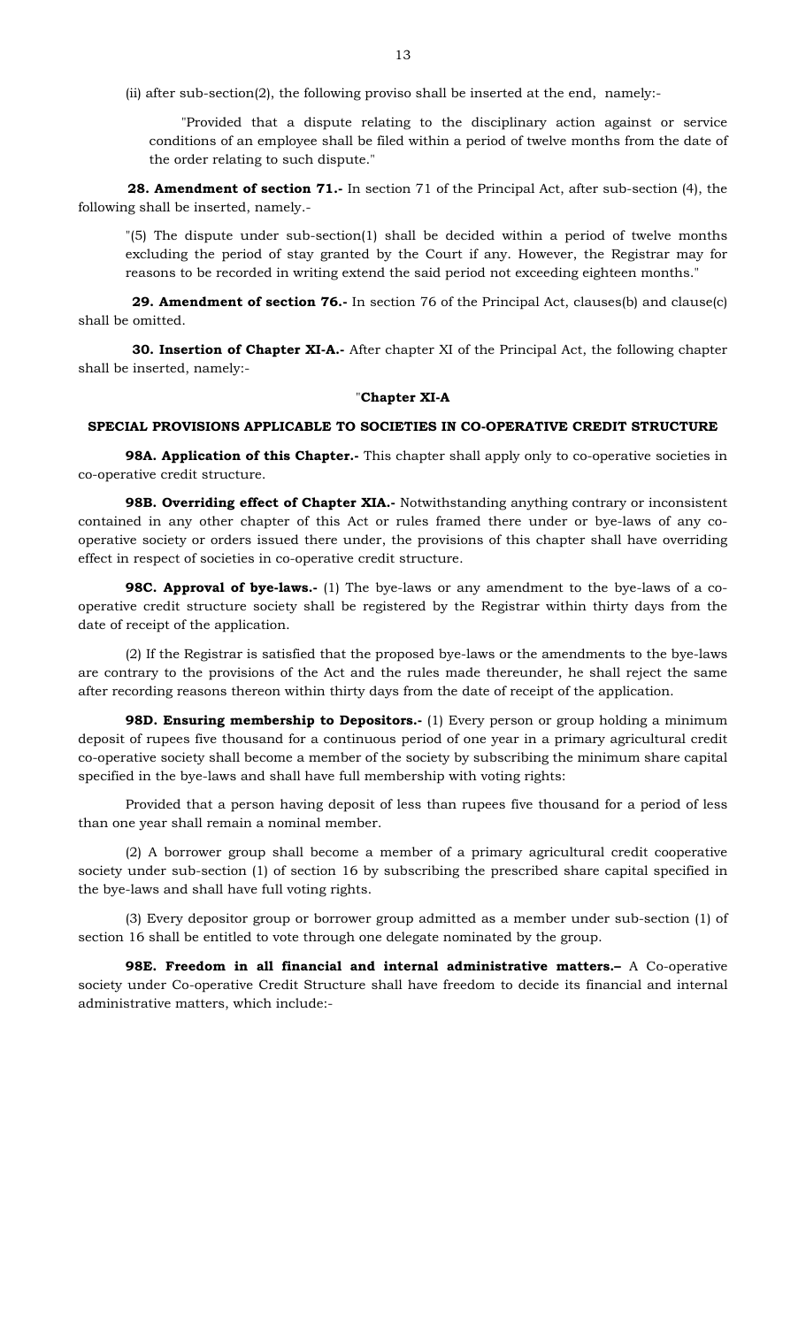(ii) after sub-section(2), the following proviso shall be inserted at the end, namely:-

 "Provided that a dispute relating to the disciplinary action against or service conditions of an employee shall be filed within a period of twelve months from the date of the order relating to such dispute."

 **28. Amendment of section 71.-** In section 71 of the Principal Act, after sub-section (4), the following shall be inserted, namely.-

"(5) The dispute under sub-section(1) shall be decided within a period of twelve months excluding the period of stay granted by the Court if any. However, the Registrar may for reasons to be recorded in writing extend the said period not exceeding eighteen months."

**29. Amendment of section 76.**- In section 76 of the Principal Act, clauses(b) and clause(c) shall be omitted.

 **30. Insertion of Chapter XI-A.-** After chapter XI of the Principal Act, the following chapter shall be inserted, namely:-

## "**Chapter XI-A**

## **SPECIAL PROVISIONS APPLICABLE TO SOCIETIES IN CO-OPERATIVE CREDIT STRUCTURE**

**98A. Application of this Chapter.-** This chapter shall apply only to co-operative societies in co-operative credit structure.

**98B. Overriding effect of Chapter XIA.**- Notwithstanding anything contrary or inconsistent contained in any other chapter of this Act or rules framed there under or bye-laws of any cooperative society or orders issued there under, the provisions of this chapter shall have overriding effect in respect of societies in co-operative credit structure.

**98C. Approval of bye-laws.-** (1) The bye-laws or any amendment to the bye-laws of a cooperative credit structure society shall be registered by the Registrar within thirty days from the date of receipt of the application.

 (2) If the Registrar is satisfied that the proposed bye-laws or the amendments to the bye-laws are contrary to the provisions of the Act and the rules made thereunder, he shall reject the same after recording reasons thereon within thirty days from the date of receipt of the application.

**98D. Ensuring membership to Depositors.**- (1) Every person or group holding a minimum deposit of rupees five thousand for a continuous period of one year in a primary agricultural credit co-operative society shall become a member of the society by subscribing the minimum share capital specified in the bye-laws and shall have full membership with voting rights:

Provided that a person having deposit of less than rupees five thousand for a period of less than one year shall remain a nominal member.

(2) A borrower group shall become a member of a primary agricultural credit cooperative society under sub-section (1) of section 16 by subscribing the prescribed share capital specified in the bye-laws and shall have full voting rights.

(3) Every depositor group or borrower group admitted as a member under sub-section (1) of section 16 shall be entitled to vote through one delegate nominated by the group.

**98E. Freedom in all financial and internal administrative matters.–** A Co-operative society under Co-operative Credit Structure shall have freedom to decide its financial and internal administrative matters, which include:-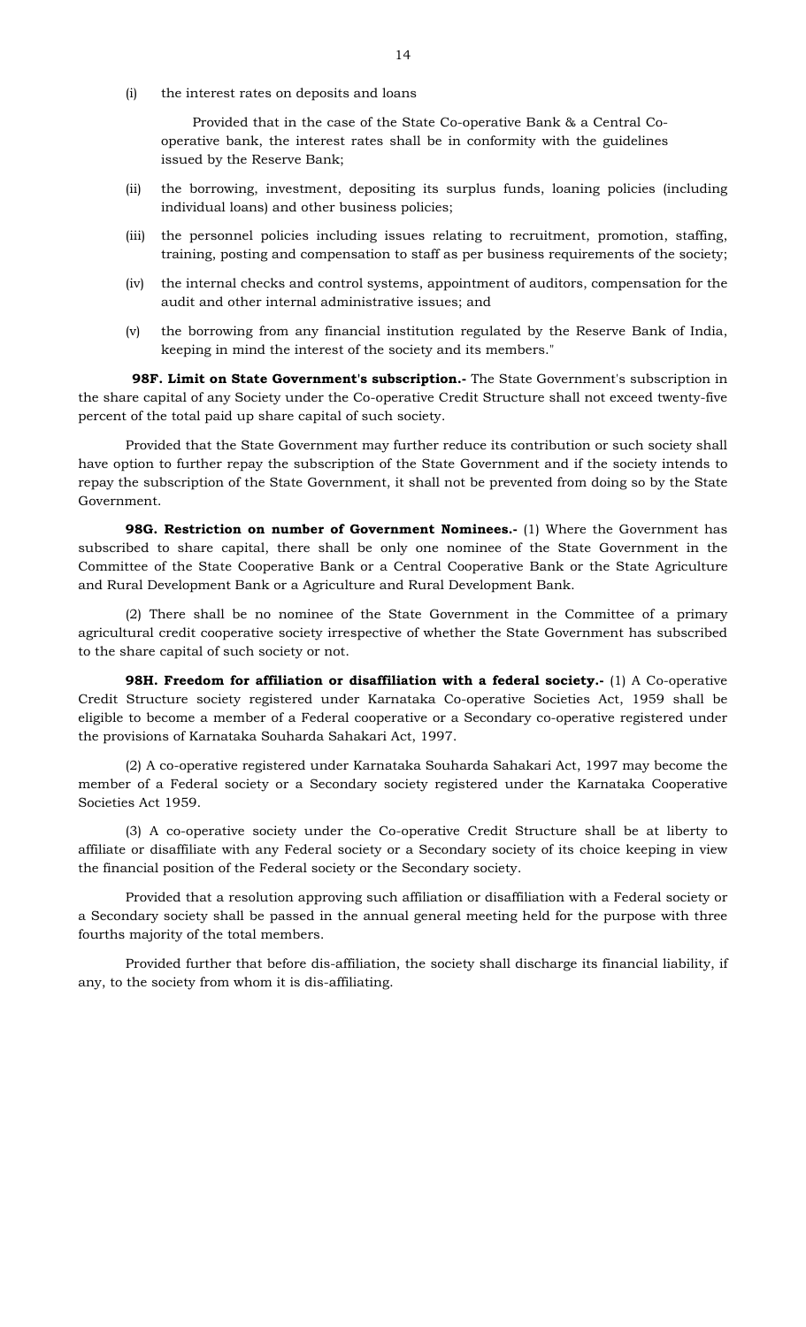(i) the interest rates on deposits and loans

 Provided that in the case of the State Co-operative Bank & a Central Cooperative bank, the interest rates shall be in conformity with the guidelines issued by the Reserve Bank;

- (ii) the borrowing, investment, depositing its surplus funds, loaning policies (including individual loans) and other business policies;
- (iii) the personnel policies including issues relating to recruitment, promotion, staffing, training, posting and compensation to staff as per business requirements of the society;
- (iv) the internal checks and control systems, appointment of auditors, compensation for the audit and other internal administrative issues; and
- (v) the borrowing from any financial institution regulated by the Reserve Bank of India, keeping in mind the interest of the society and its members."

 **98F. Limit on State Government's subscription.-** The State Government's subscription in the share capital of any Society under the Co-operative Credit Structure shall not exceed twenty-five percent of the total paid up share capital of such society.

 Provided that the State Government may further reduce its contribution or such society shall have option to further repay the subscription of the State Government and if the society intends to repay the subscription of the State Government, it shall not be prevented from doing so by the State Government.

**98G. Restriction on number of Government Nominees.**- (1) Where the Government has subscribed to share capital, there shall be only one nominee of the State Government in the Committee of the State Cooperative Bank or a Central Cooperative Bank or the State Agriculture and Rural Development Bank or a Agriculture and Rural Development Bank.

(2) There shall be no nominee of the State Government in the Committee of a primary agricultural credit cooperative society irrespective of whether the State Government has subscribed to the share capital of such society or not.

**98H. Freedom for affiliation or disaffiliation with a federal society.**- (1) A Co-operative Credit Structure society registered under Karnataka Co-operative Societies Act, 1959 shall be eligible to become a member of a Federal cooperative or a Secondary co-operative registered under the provisions of Karnataka Souharda Sahakari Act, 1997.

(2) A co-operative registered under Karnataka Souharda Sahakari Act, 1997 may become the member of a Federal society or a Secondary society registered under the Karnataka Cooperative Societies Act 1959.

(3) A co-operative society under the Co-operative Credit Structure shall be at liberty to affiliate or disaffiliate with any Federal society or a Secondary society of its choice keeping in view the financial position of the Federal society or the Secondary society.

Provided that a resolution approving such affiliation or disaffiliation with a Federal society or a Secondary society shall be passed in the annual general meeting held for the purpose with three fourths majority of the total members.

Provided further that before dis-affiliation, the society shall discharge its financial liability, if any, to the society from whom it is dis-affiliating.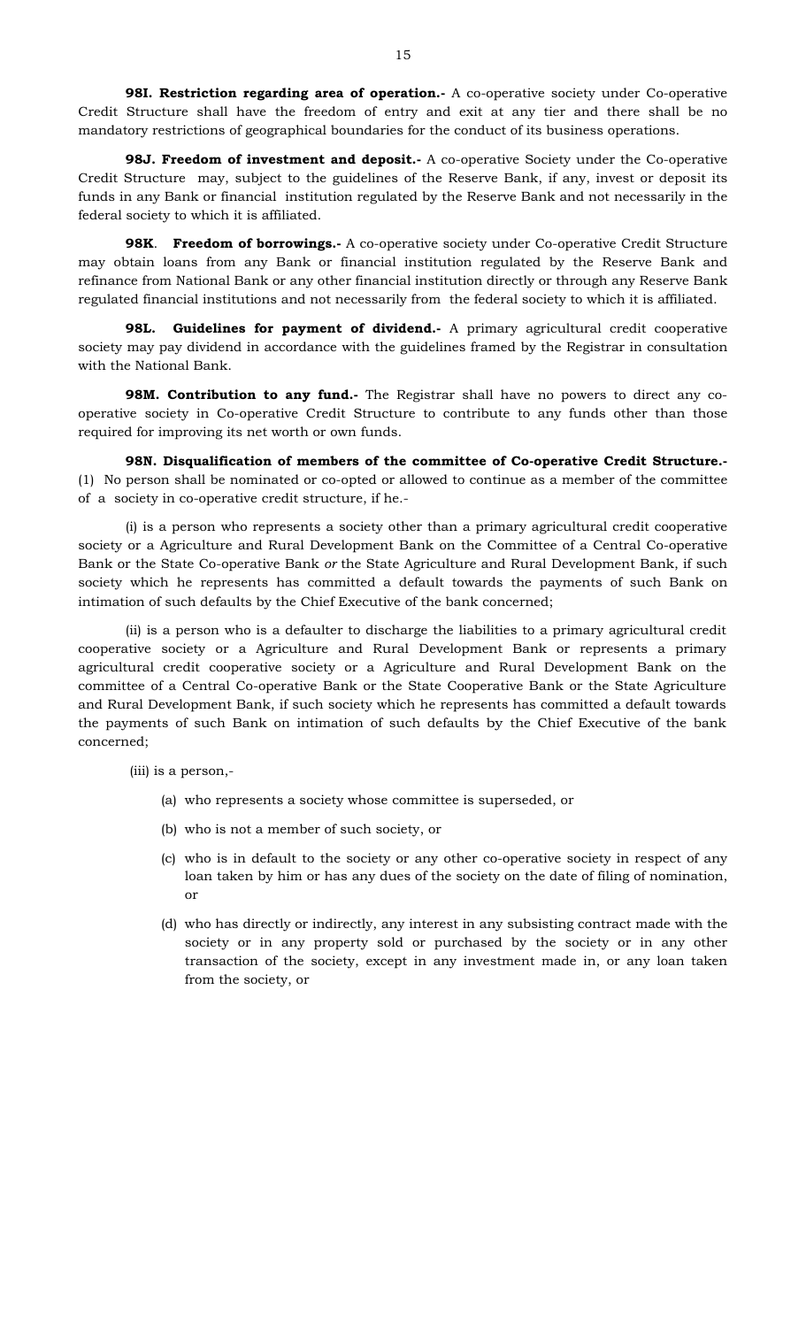**98I. Restriction regarding area of operation.** A co-operative society under Co-operative Credit Structure shall have the freedom of entry and exit at any tier and there shall be no mandatory restrictions of geographical boundaries for the conduct of its business operations.

**98J. Freedom of investment and deposit.-** A co-operative Society under the Co-operative Credit Structure may, subject to the guidelines of the Reserve Bank, if any, invest or deposit its funds in any Bank or financial institution regulated by the Reserve Bank and not necessarily in the federal society to which it is affiliated.

**98K**. **Freedom of borrowings.-** A co-operative society under Co-operative Credit Structure may obtain loans from any Bank or financial institution regulated by the Reserve Bank and refinance from National Bank or any other financial institution directly or through any Reserve Bank regulated financial institutions and not necessarily from the federal society to which it is affiliated.

**98L. Guidelines for payment of dividend.-** A primary agricultural credit cooperative society may pay dividend in accordance with the guidelines framed by the Registrar in consultation with the National Bank.

**98M. Contribution to any fund.**- The Registrar shall have no powers to direct any cooperative society in Co-operative Credit Structure to contribute to any funds other than those required for improving its net worth or own funds.

**98N. Disqualification of members of the committee of Co-operative Credit Structure.-**  (1) No person shall be nominated or co-opted or allowed to continue as a member of the committee of a society in co-operative credit structure, if he.-

 (i) is a person who represents a society other than a primary agricultural credit cooperative society or a Agriculture and Rural Development Bank on the Committee of a Central Co-operative Bank or the State Co-operative Bank *or* the State Agriculture and Rural Development Bank, if such society which he represents has committed a default towards the payments of such Bank on intimation of such defaults by the Chief Executive of the bank concerned;

(ii) is a person who is a defaulter to discharge the liabilities to a primary agricultural credit cooperative society or a Agriculture and Rural Development Bank or represents a primary agricultural credit cooperative society or a Agriculture and Rural Development Bank on the committee of a Central Co-operative Bank or the State Cooperative Bank or the State Agriculture and Rural Development Bank, if such society which he represents has committed a default towards the payments of such Bank on intimation of such defaults by the Chief Executive of the bank concerned;

(iii) is a person,-

- (a) who represents a society whose committee is superseded, or
- (b) who is not a member of such society, or
- (c) who is in default to the society or any other co-operative society in respect of any loan taken by him or has any dues of the society on the date of filing of nomination, or
- (d) who has directly or indirectly, any interest in any subsisting contract made with the society or in any property sold or purchased by the society or in any other transaction of the society, except in any investment made in, or any loan taken from the society, or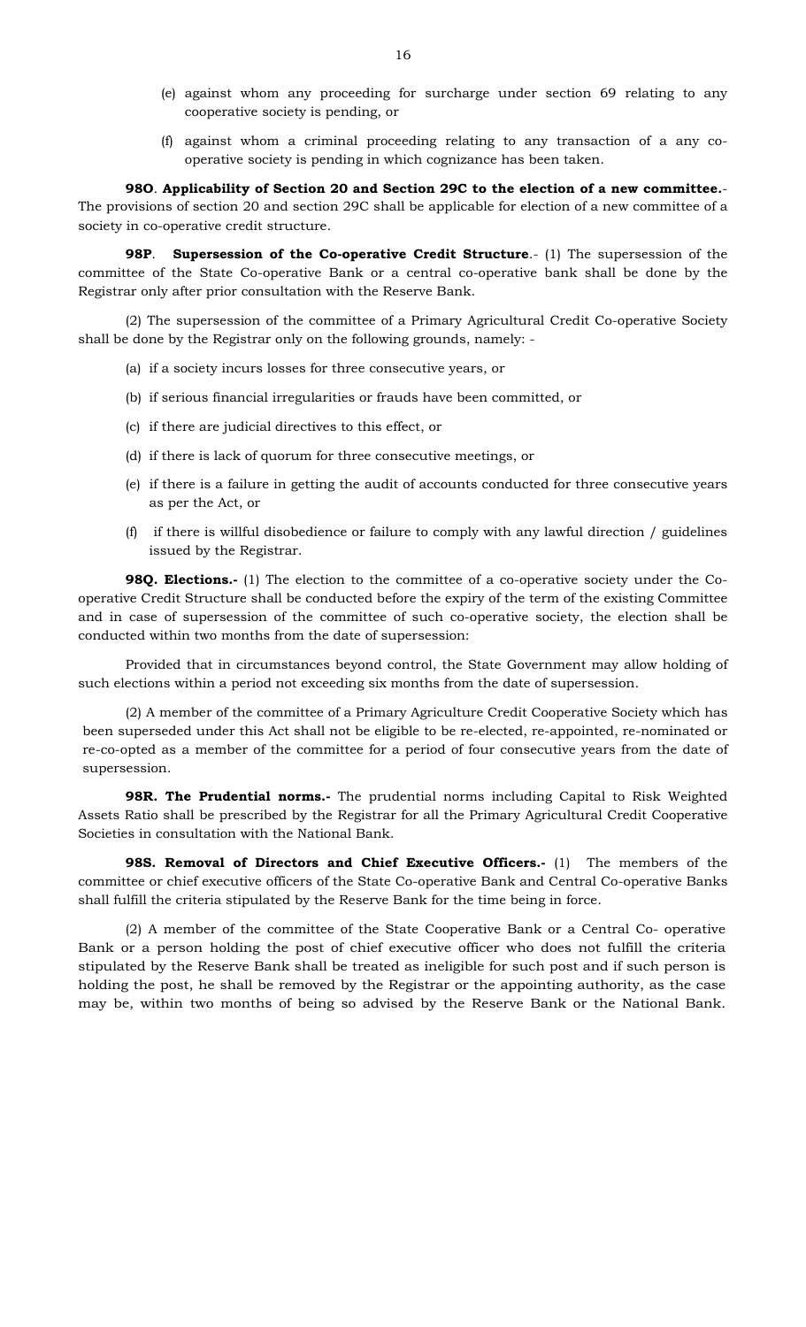- (e) against whom any proceeding for surcharge under section 69 relating to any cooperative society is pending, or
- (f) against whom a criminal proceeding relating to any transaction of a any cooperative society is pending in which cognizance has been taken.

 **98O**. **Applicability of Section 20 and Section 29C to the election of a new committee.**- The provisions of section 20 and section 29C shall be applicable for election of a new committee of a society in co-operative credit structure.

**98P**. **Supersession of the Co-operative Credit Structure**.- (1) The supersession of the committee of the State Co-operative Bank or a central co-operative bank shall be done by the Registrar only after prior consultation with the Reserve Bank.

 (2) The supersession of the committee of a Primary Agricultural Credit Co-operative Society shall be done by the Registrar only on the following grounds, namely: -

- (a) if a society incurs losses for three consecutive years, or
- (b) if serious financial irregularities or frauds have been committed, or
- (c) if there are judicial directives to this effect, or
- (d) if there is lack of quorum for three consecutive meetings, or
- (e) if there is a failure in getting the audit of accounts conducted for three consecutive years as per the Act, or
- (f) if there is willful disobedience or failure to comply with any lawful direction / guidelines issued by the Registrar.

**98Q. Elections.**- (1) The election to the committee of a co-operative society under the Cooperative Credit Structure shall be conducted before the expiry of the term of the existing Committee and in case of supersession of the committee of such co-operative society, the election shall be conducted within two months from the date of supersession:

Provided that in circumstances beyond control, the State Government may allow holding of such elections within a period not exceeding six months from the date of supersession.

(2) A member of the committee of a Primary Agriculture Credit Cooperative Society which has been superseded under this Act shall not be eligible to be re-elected, re-appointed, re-nominated or re-co-opted as a member of the committee for a period of four consecutive years from the date of supersession.

**98R. The Prudential norms.-** The prudential norms including Capital to Risk Weighted Assets Ratio shall be prescribed by the Registrar for all the Primary Agricultural Credit Cooperative Societies in consultation with the National Bank.

**98S. Removal of Directors and Chief Executive Officers.-** (1) The members of the committee or chief executive officers of the State Co-operative Bank and Central Co-operative Banks shall fulfill the criteria stipulated by the Reserve Bank for the time being in force.

(2) A member of the committee of the State Cooperative Bank or a Central Co- operative Bank or a person holding the post of chief executive officer who does not fulfill the criteria stipulated by the Reserve Bank shall be treated as ineligible for such post and if such person is holding the post, he shall be removed by the Registrar or the appointing authority, as the case may be, within two months of being so advised by the Reserve Bank or the National Bank.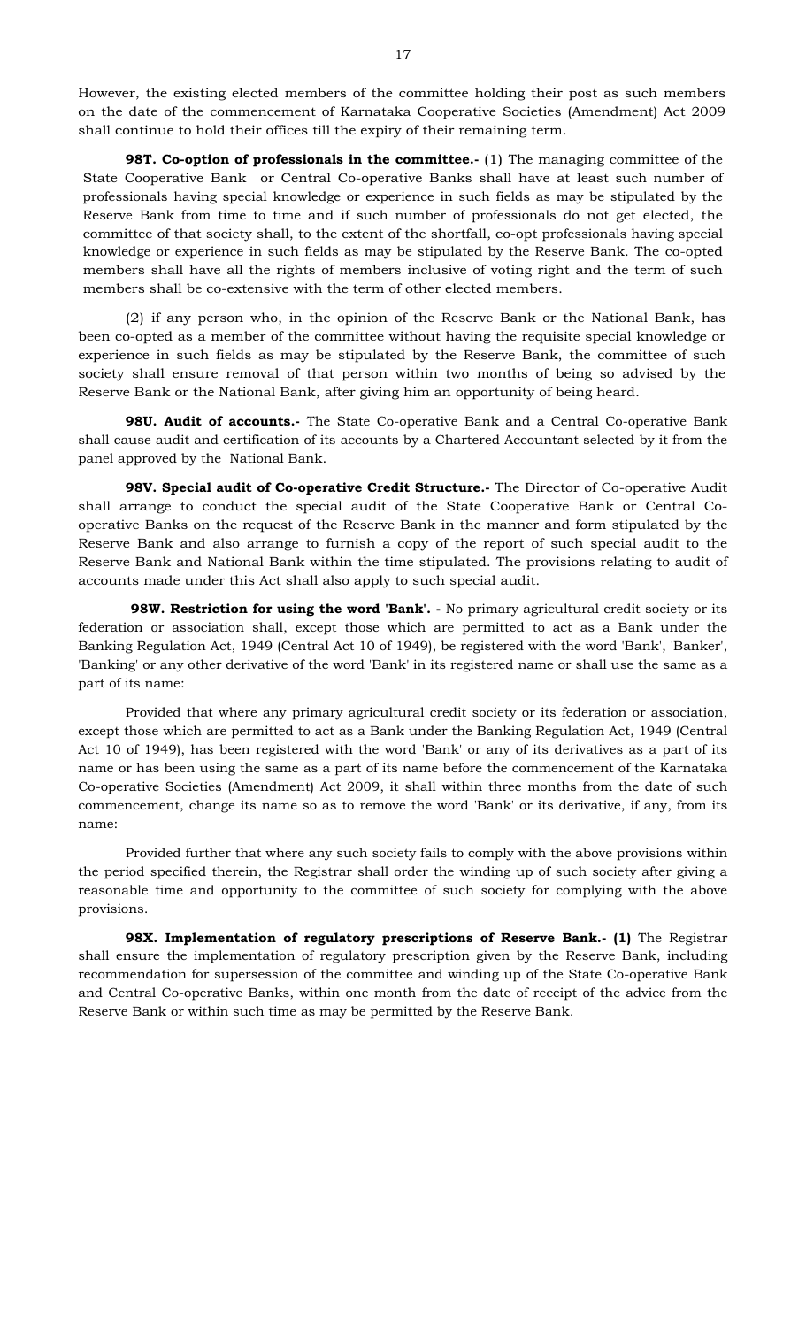However, the existing elected members of the committee holding their post as such members on the date of the commencement of Karnataka Cooperative Societies (Amendment) Act 2009 shall continue to hold their offices till the expiry of their remaining term.

**98T. Co-option of professionals in the committee.** (1) The managing committee of the State Cooperative Bank or Central Co-operative Banks shall have at least such number of professionals having special knowledge or experience in such fields as may be stipulated by the Reserve Bank from time to time and if such number of professionals do not get elected, the committee of that society shall, to the extent of the shortfall, co-opt professionals having special knowledge or experience in such fields as may be stipulated by the Reserve Bank. The co-opted members shall have all the rights of members inclusive of voting right and the term of such members shall be co-extensive with the term of other elected members.

 (2) if any person who, in the opinion of the Reserve Bank or the National Bank, has been co-opted as a member of the committee without having the requisite special knowledge or experience in such fields as may be stipulated by the Reserve Bank, the committee of such society shall ensure removal of that person within two months of being so advised by the Reserve Bank or the National Bank, after giving him an opportunity of being heard.

**98U. Audit of accounts.-** The State Co-operative Bank and a Central Co-operative Bank shall cause audit and certification of its accounts by a Chartered Accountant selected by it from the panel approved by the National Bank.

**98V. Special audit of Co-operative Credit Structure.-** The Director of Co-operative Audit shall arrange to conduct the special audit of the State Cooperative Bank or Central Cooperative Banks on the request of the Reserve Bank in the manner and form stipulated by the Reserve Bank and also arrange to furnish a copy of the report of such special audit to the Reserve Bank and National Bank within the time stipulated. The provisions relating to audit of accounts made under this Act shall also apply to such special audit.

**98W. Restriction for using the word 'Bank'.** - No primary agricultural credit society or its federation or association shall, except those which are permitted to act as a Bank under the Banking Regulation Act, 1949 (Central Act 10 of 1949), be registered with the word 'Bank', 'Banker', 'Banking' or any other derivative of the word 'Bank' in its registered name or shall use the same as a part of its name:

 Provided that where any primary agricultural credit society or its federation or association, except those which are permitted to act as a Bank under the Banking Regulation Act, 1949 (Central Act 10 of 1949), has been registered with the word 'Bank' or any of its derivatives as a part of its name or has been using the same as a part of its name before the commencement of the Karnataka Co-operative Societies (Amendment) Act 2009, it shall within three months from the date of such commencement, change its name so as to remove the word 'Bank' or its derivative, if any, from its name:

 Provided further that where any such society fails to comply with the above provisions within the period specified therein, the Registrar shall order the winding up of such society after giving a reasonable time and opportunity to the committee of such society for complying with the above provisions.

 **98X. Implementation of regulatory prescriptions of Reserve Bank.- (1)** The Registrar shall ensure the implementation of regulatory prescription given by the Reserve Bank, including recommendation for supersession of the committee and winding up of the State Co-operative Bank and Central Co-operative Banks, within one month from the date of receipt of the advice from the Reserve Bank or within such time as may be permitted by the Reserve Bank.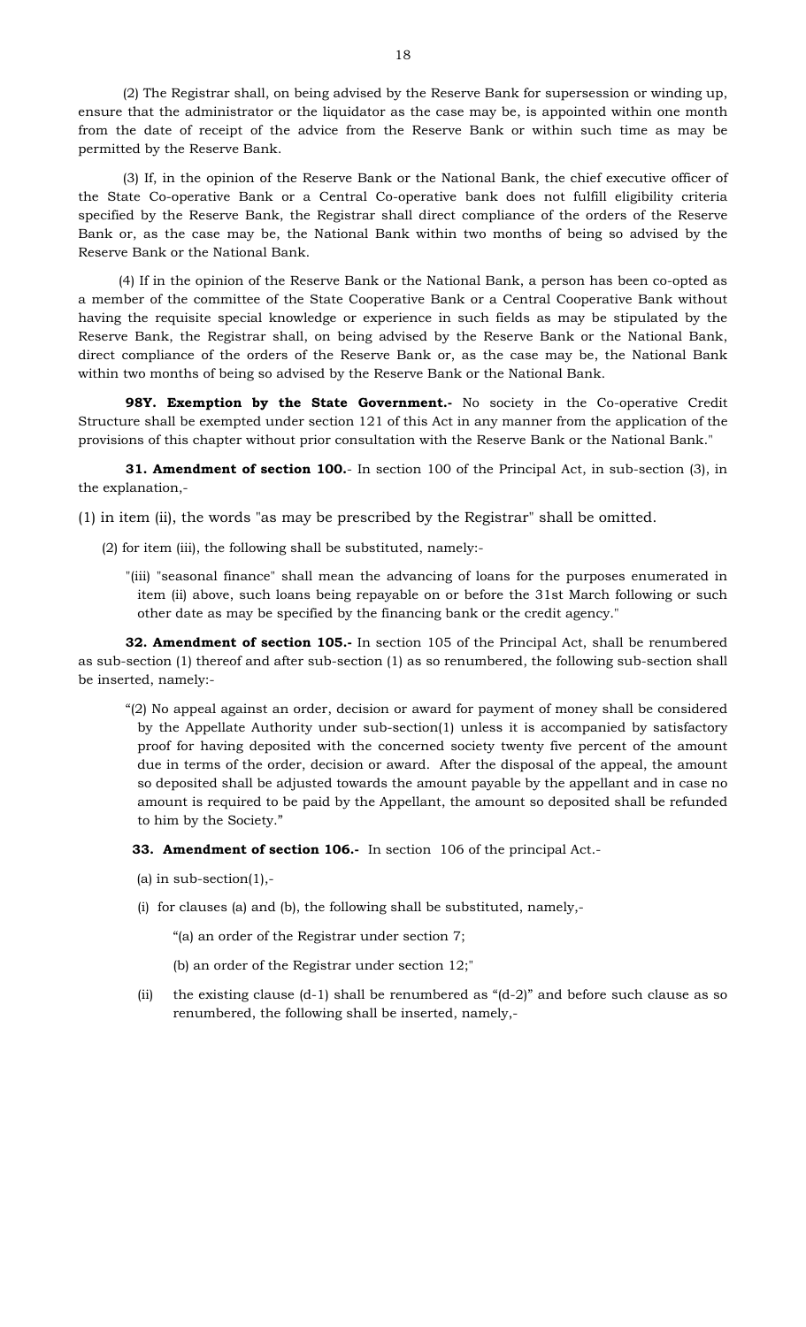(2) The Registrar shall, on being advised by the Reserve Bank for supersession or winding up, ensure that the administrator or the liquidator as the case may be, is appointed within one month from the date of receipt of the advice from the Reserve Bank or within such time as may be permitted by the Reserve Bank.

 (3) If, in the opinion of the Reserve Bank or the National Bank, the chief executive officer of the State Co-operative Bank or a Central Co-operative bank does not fulfill eligibility criteria specified by the Reserve Bank, the Registrar shall direct compliance of the orders of the Reserve Bank or, as the case may be, the National Bank within two months of being so advised by the Reserve Bank or the National Bank.

 (4) If in the opinion of the Reserve Bank or the National Bank, a person has been co-opted as a member of the committee of the State Cooperative Bank or a Central Cooperative Bank without having the requisite special knowledge or experience in such fields as may be stipulated by the Reserve Bank, the Registrar shall, on being advised by the Reserve Bank or the National Bank, direct compliance of the orders of the Reserve Bank or, as the case may be, the National Bank within two months of being so advised by the Reserve Bank or the National Bank.

**98Y. Exemption by the State Government.**- No society in the Co-operative Credit Structure shall be exempted under section 121 of this Act in any manner from the application of the provisions of this chapter without prior consultation with the Reserve Bank or the National Bank."

**31. Amendment of section 100.**- In section 100 of the Principal Act, in sub-section (3), in the explanation,-

(1) in item (ii), the words "as may be prescribed by the Registrar" shall be omitted.

(2) for item (iii), the following shall be substituted, namely:-

"(iii) "seasonal finance" shall mean the advancing of loans for the purposes enumerated in item (ii) above, such loans being repayable on or before the 31st March following or such other date as may be specified by the financing bank or the credit agency."

**32. Amendment of section 105.-** In section 105 of the Principal Act, shall be renumbered as sub-section (1) thereof and after sub-section (1) as so renumbered, the following sub-section shall be inserted, namely:-

"(2) No appeal against an order, decision or award for payment of money shall be considered by the Appellate Authority under sub-section(1) unless it is accompanied by satisfactory proof for having deposited with the concerned society twenty five percent of the amount due in terms of the order, decision or award. After the disposal of the appeal, the amount so deposited shall be adjusted towards the amount payable by the appellant and in case no amount is required to be paid by the Appellant, the amount so deposited shall be refunded to him by the Society."

 **33. Amendment of section 106.-** In section 106 of the principal Act.-

(a) in sub-section $(1),$ -

(i) for clauses (a) and (b), the following shall be substituted, namely,-

"(a) an order of the Registrar under section 7;

(b) an order of the Registrar under section 12;"

(ii) the existing clause  $(d-1)$  shall be renumbered as " $(d-2)$ " and before such clause as so renumbered, the following shall be inserted, namely,-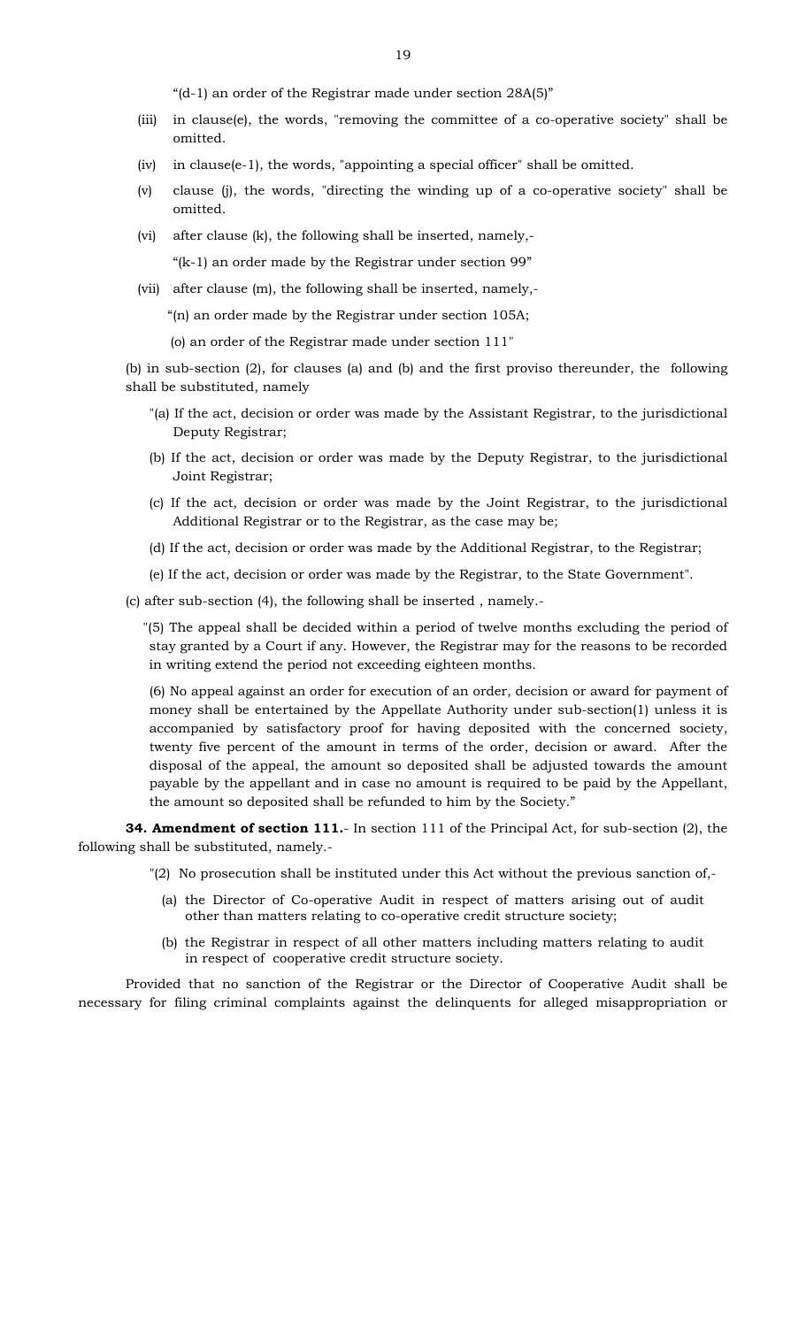"(d-1) an order of the Registrar made under section 28A(5)"

- (iii) in clause(e), the words, "removing the committee of a co-operative society" shall be omitted.
- (iv) in clause(e-1), the words, "appointing a special officer" shall be omitted.
- (v) clause (j), the words, "directing the winding up of a co-operative society" shall be omitted.
- (vi) after clause (k), the following shall be inserted, namely,- "(k-1) an order made by the Registrar under section 99"
- (vii) after clause (m), the following shall be inserted, namely,-

"(n) an order made by the Registrar under section 105A;

(o) an order of the Registrar made under section 111"

(b) in sub-section (2), for clauses (a) and (b) and the first proviso thereunder, the following shall be substituted, namely

- "(a) If the act, decision or order was made by the Assistant Registrar, to the jurisdictional Deputy Registrar;
- (b) If the act, decision or order was made by the Deputy Registrar, to the jurisdictional Joint Registrar;
- (c) If the act, decision or order was made by the Joint Registrar, to the jurisdictional Additional Registrar or to the Registrar, as the case may be;
- (d) If the act, decision or order was made by the Additional Registrar, to the Registrar;
- (e) If the act, decision or order was made by the Registrar, to the State Government".

(c) after sub-section (4), the following shall be inserted , namely.-

 "(5) The appeal shall be decided within a period of twelve months excluding the period of stay granted by a Court if any. However, the Registrar may for the reasons to be recorded in writing extend the period not exceeding eighteen months.

(6) No appeal against an order for execution of an order, decision or award for payment of money shall be entertained by the Appellate Authority under sub-section(1) unless it is accompanied by satisfactory proof for having deposited with the concerned society, twenty five percent of the amount in terms of the order, decision or award. After the disposal of the appeal, the amount so deposited shall be adjusted towards the amount payable by the appellant and in case no amount is required to be paid by the Appellant, the amount so deposited shall be refunded to him by the Society."

**34. Amendment of section 111.**- In section 111 of the Principal Act, for sub-section (2), the following shall be substituted, namely.-

- "(2) No prosecution shall be instituted under this Act without the previous sanction of,-
	- (a) the Director of Co-operative Audit in respect of matters arising out of audit other than matters relating to co-operative credit structure society;
	- (b) the Registrar in respect of all other matters including matters relating to audit in respect of cooperative credit structure society.

Provided that no sanction of the Registrar or the Director of Cooperative Audit shall be necessary for filing criminal complaints against the delinquents for alleged misappropriation or